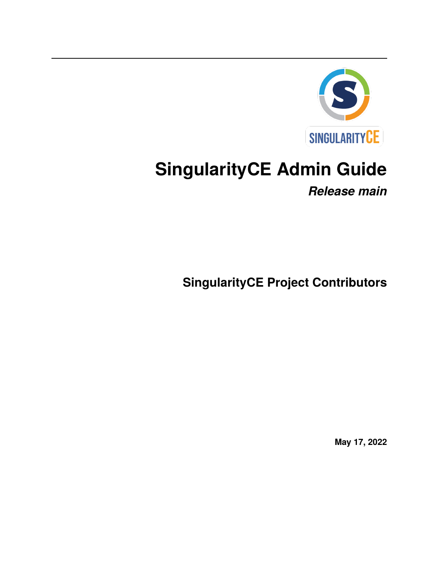

# **SingularityCE Admin Guide**

*Release main*

**SingularityCE Project Contributors**

**May 17, 2022**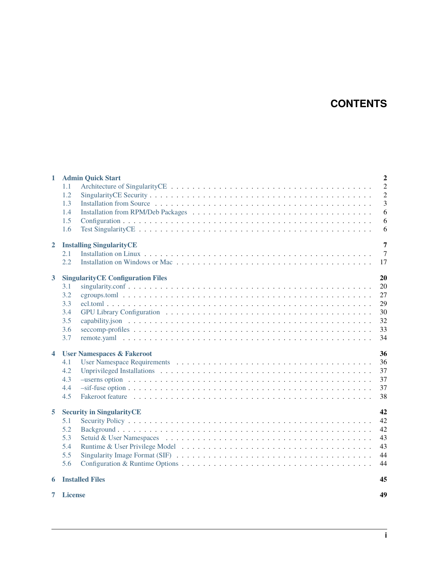# **CONTENTS**

| 1                | $\overline{2}$<br><b>Admin Quick Start</b> |                |  |  |  |  |
|------------------|--------------------------------------------|----------------|--|--|--|--|
|                  | 1.1                                        | $\overline{2}$ |  |  |  |  |
|                  | 1.2                                        | $\overline{c}$ |  |  |  |  |
|                  | 1.3                                        | 3              |  |  |  |  |
|                  | 1.4                                        | 6              |  |  |  |  |
|                  | 1.5                                        | 6              |  |  |  |  |
|                  | 1.6                                        | 6              |  |  |  |  |
| $\mathbf{2}$     | 7<br><b>Installing SingularityCE</b>       |                |  |  |  |  |
|                  | 2.1                                        | $\overline{7}$ |  |  |  |  |
|                  | 2.2                                        | 17             |  |  |  |  |
| $\mathbf{3}$     | <b>SingularityCE Configuration Files</b>   | 20             |  |  |  |  |
|                  | 3.1                                        | 20             |  |  |  |  |
|                  | 3.2                                        | 27             |  |  |  |  |
|                  | 3.3                                        | 29             |  |  |  |  |
|                  | 3.4                                        | 30             |  |  |  |  |
|                  | 3.5                                        | 32             |  |  |  |  |
|                  | 3.6                                        | 33             |  |  |  |  |
|                  | 3.7                                        | 34             |  |  |  |  |
| $\blacktriangle$ | <b>User Namespaces &amp; Fakeroot</b>      | 36             |  |  |  |  |
|                  | 4.1                                        | 36             |  |  |  |  |
|                  | 4.2                                        | 37             |  |  |  |  |
|                  | 4.3                                        | 37             |  |  |  |  |
|                  | 4.4                                        | 37             |  |  |  |  |
|                  | 4.5                                        | 38             |  |  |  |  |
| 5                | <b>Security in SingularityCE</b>           | 42             |  |  |  |  |
|                  | 5.1                                        | 42             |  |  |  |  |
|                  | 5.2                                        | 42             |  |  |  |  |
|                  | 5.3                                        | 43             |  |  |  |  |
|                  | 5.4                                        | 43             |  |  |  |  |
|                  | 5.5                                        | 44             |  |  |  |  |
|                  | 5.6                                        | 44             |  |  |  |  |
| 6                | <b>Installed Files</b><br>45               |                |  |  |  |  |
|                  | 49<br>7 License                            |                |  |  |  |  |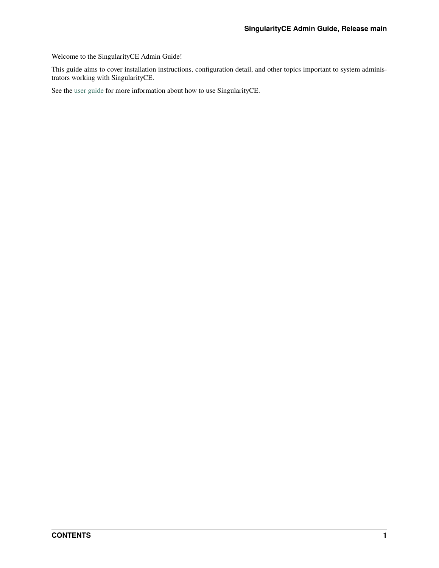Welcome to the SingularityCE Admin Guide!

This guide aims to cover installation instructions, configuration detail, and other topics important to system administrators working with SingularityCE.

See the [user guide](https://www.sylabs.io/guides/main/user-guide/) for more information about how to use SingularityCE.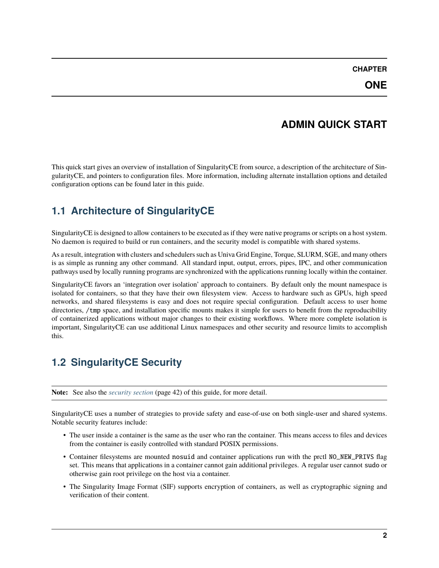#### **CHAPTER**

# **ADMIN QUICK START**

<span id="page-3-0"></span>This quick start gives an overview of installation of SingularityCE from source, a description of the architecture of SingularityCE, and pointers to configuration files. More information, including alternate installation options and detailed configuration options can be found later in this guide.

# <span id="page-3-1"></span>**1.1 Architecture of SingularityCE**

SingularityCE is designed to allow containers to be executed as if they were native programs or scripts on a host system. No daemon is required to build or run containers, and the security model is compatible with shared systems.

As a result, integration with clusters and schedulers such as Univa Grid Engine, Torque, SLURM, SGE, and many others is as simple as running any other command. All standard input, output, errors, pipes, IPC, and other communication pathways used by locally running programs are synchronized with the applications running locally within the container.

SingularityCE favors an 'integration over isolation' approach to containers. By default only the mount namespace is isolated for containers, so that they have their own filesystem view. Access to hardware such as GPUs, high speed networks, and shared filesystems is easy and does not require special configuration. Default access to user home directories, /tmp space, and installation specific mounts makes it simple for users to benefit from the reproducibility of containerized applications without major changes to their existing workflows. Where more complete isolation is important, SingularityCE can use additional Linux namespaces and other security and resource limits to accomplish this.

# <span id="page-3-2"></span>**1.2 SingularityCE Security**

**Note:** See also the *[security section](#page-43-0)* (page 42) of this guide, for more detail.

SingularityCE uses a number of strategies to provide safety and ease-of-use on both single-user and shared systems. Notable security features include:

- The user inside a container is the same as the user who ran the container. This means access to files and devices from the container is easily controlled with standard POSIX permissions.
- Container filesystems are mounted nosuid and container applications run with the prctl NO\_NEW\_PRIVS flag set. This means that applications in a container cannot gain additional privileges. A regular user cannot sudo or otherwise gain root privilege on the host via a container.
- The Singularity Image Format (SIF) supports encryption of containers, as well as cryptographic signing and verification of their content.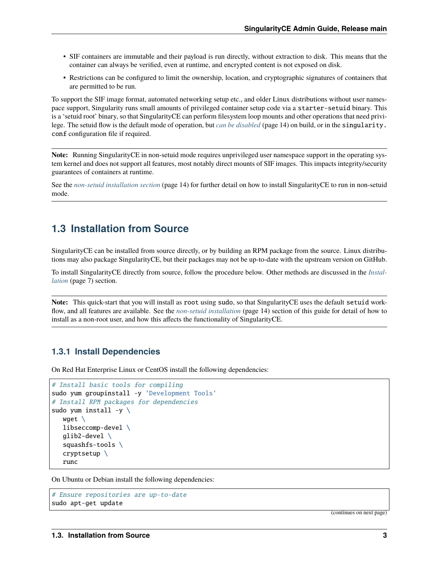- SIF containers are immutable and their payload is run directly, without extraction to disk. This means that the container can always be verified, even at runtime, and encrypted content is not exposed on disk.
- Restrictions can be configured to limit the ownership, location, and cryptographic signatures of containers that are permitted to be run.

To support the SIF image format, automated networking setup etc., and older Linux distributions without user namespace support, Singularity runs small amounts of privileged container setup code via a starter-setuid binary. This is a 'setuid root' binary, so that SingularityCE can perform filesystem loop mounts and other operations that need privilege. The setuid flow is the default mode of operation, but *[can be disabled](#page-15-0)* (page 14) on build, or in the singularity. conf configuration file if required.

**Note:** Running SingularityCE in non-setuid mode requires unprivileged user namespace support in the operating system kernel and does not support all features, most notably direct mounts of SIF images. This impacts integrity/security guarantees of containers at runtime.

See the *[non-setuid installation section](#page-15-0)* (page 14) for further detail on how to install SingularityCE to run in non-setuid mode.

## <span id="page-4-0"></span>**1.3 Installation from Source**

SingularityCE can be installed from source directly, or by building an RPM package from the source. Linux distributions may also package SingularityCE, but their packages may not be up-to-date with the upstream version on GitHub.

To install SingularityCE directly from source, follow the procedure below. Other methods are discussed in the *[Instal](#page-8-0)[lation](#page-8-0)* (page 7) section.

**Note:** This quick-start that you will install as root using sudo, so that SingularityCE uses the default setuid workflow, and all features are available. See the *[non-setuid installation](#page-15-0)* (page 14) section of this guide for detail of how to install as a non-root user, and how this affects the functionality of SingularityCE.

#### **1.3.1 Install Dependencies**

On Red Hat Enterprise Linux or CentOS install the following dependencies:

```
# Install basic tools for compiling
sudo yum groupinstall -y 'Development Tools'
# Install RPM packages for dependencies
sudo yum install -y \ \wget \
  libseccomp-devel \
   glib2-devel \
   squashfs-tools \
   cryptsetup \
   runc
```
On Ubuntu or Debian install the following dependencies:

```
# Ensure repositories are up-to-date
sudo apt-get update
```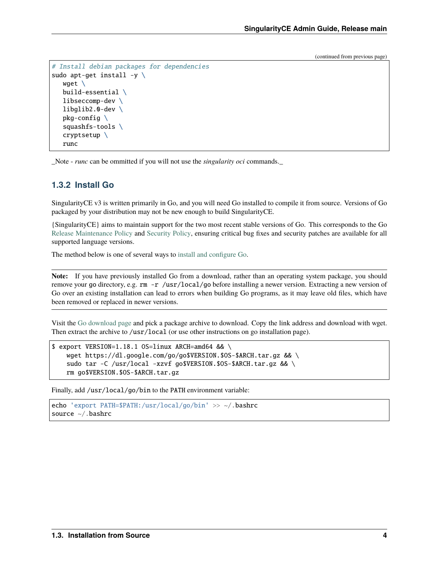```
# Install debian packages for dependencies
sudo apt-get install -y \setminuswget \
   build-essential \
   libseccomp-dev \
   libglib2.0-dev \
   pkg-config \setminussquashfs-tools \
   cryptsetup \
   runc
```
\_Note - *runc* can be ommitted if you will not use the *singularity oci* commands.\_

#### **1.3.2 Install Go**

SingularityCE v3 is written primarily in Go, and you will need Go installed to compile it from source. Versions of Go packaged by your distribution may not be new enough to build SingularityCE.

{SingularityCE} aims to maintain support for the two most recent stable versions of Go. This corresponds to the Go [Release Maintenance Policy](https://github.com/golang/go/wiki/Go-Release-Cycle#release-maintenance) and [Security Policy,](https://golang.org/security) ensuring critical bug fixes and security patches are available for all supported language versions.

The method below is one of several ways to [install and configure Go.](https://golang.org/doc/install)

**Note:** If you have previously installed Go from a download, rather than an operating system package, you should remove your go directory, e.g. rm -r /usr/local/go before installing a newer version. Extracting a new version of Go over an existing installation can lead to errors when building Go programs, as it may leave old files, which have been removed or replaced in newer versions.

Visit the [Go download page](https://golang.org/dl/) and pick a package archive to download. Copy the link address and download with wget. Then extract the archive to /usr/local (or use other instructions on go installation page).

```
$ export VERSION=1.18.1 OS=linux ARCH=amd64 && \
   wget https://dl.google.com/go/go$VERSION.$OS-$ARCH.tar.gz && \
    sudo tar -C /usr/local -xzvf go$VERSION.$OS-$ARCH.tar.gz && \
   rm go$VERSION.$OS-$ARCH.tar.gz
```
Finally, add /usr/local/go/bin to the PATH environment variable:

```
echo 'export PATH=$PATH:/usr/local/go/bin' >> ~/.bashrc
source ~/ bashrc
```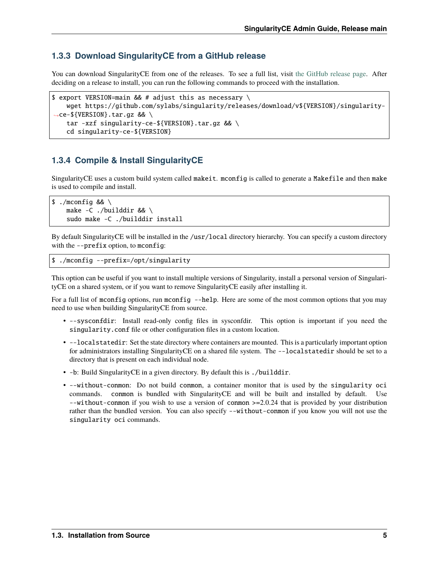## **1.3.3 Download SingularityCE from a GitHub release**

You can download SingularityCE from one of the releases. To see a full list, visit [the GitHub release page.](https://github.com/sylabs/singularity/releases) After deciding on a release to install, you can run the following commands to proceed with the installation.

```
$ export VERSION=main && # adjust this as necessary \setminuswget https://github.com/sylabs/singularity/releases/download/v${VERSION}/singularity-
˓→ce-${VERSION}.tar.gz && \
   tar -xzf singularity-ce-${VERSION}.tar.gz && \
    cd singularity-ce-${VERSION}
```
## **1.3.4 Compile & Install SingularityCE**

SingularityCE uses a custom build system called makeit. mconfig is called to generate a Makefile and then make is used to compile and install.

```
$./mconfig && \
   make -C./builddir && \
   sudo make -C ./builddir install
```
By default SingularityCE will be installed in the /usr/local directory hierarchy. You can specify a custom directory with the --prefix option, to mconfig:

```
$ ./mconfig --prefix=/opt/singularity
```
This option can be useful if you want to install multiple versions of Singularity, install a personal version of SingularityCE on a shared system, or if you want to remove SingularityCE easily after installing it.

For a full list of mconfig options, run mconfig --help. Here are some of the most common options that you may need to use when building SingularityCE from source.

- --sysconfdir: Install read-only config files in sysconfdir. This option is important if you need the singularity.conf file or other configuration files in a custom location.
- --localstatedir: Set the state directory where containers are mounted. This is a particularly important option for administrators installing SingularityCE on a shared file system. The --localstatedir should be set to a directory that is present on each individual node.
- -b: Build SingularityCE in a given directory. By default this is ./builddir.
- --without-conmon: Do not build conmon, a container monitor that is used by the singularity oci commands. conmon is bundled with SingularityCE and will be built and installed by default. Use --without-conmon if you wish to use a version of conmon >=2.0.24 that is provided by your distribution rather than the bundled version. You can also specify  $-\text{without-component}$  if you know you will not use the singularity oci commands.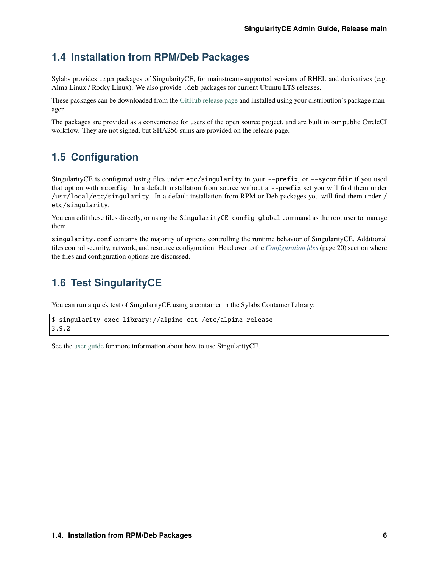# <span id="page-7-0"></span>**1.4 Installation from RPM/Deb Packages**

Sylabs provides .rpm packages of SingularityCE, for mainstream-supported versions of RHEL and derivatives (e.g. Alma Linux / Rocky Linux). We also provide .deb packages for current Ubuntu LTS releases.

These packages can be downloaded from the [GitHub release page](https://github.com/sylabs/singularity/releases) and installed using your distribution's package manager.

The packages are provided as a convenience for users of the open source project, and are built in our public CircleCI workflow. They are not signed, but SHA256 sums are provided on the release page.

# <span id="page-7-1"></span>**1.5 Configuration**

SingularityCE is configured using files under etc/singularity in your --prefix, or --syconfdir if you used that option with mconfig. In a default installation from source without a --prefix set you will find them under /usr/local/etc/singularity. In a default installation from RPM or Deb packages you will find them under / etc/singularity.

You can edit these files directly, or using the SingularityCE config global command as the root user to manage them.

singularity.conf contains the majority of options controlling the runtime behavior of SingularityCE. Additional files control security, network, and resource configuration. Head over to the *[Configuration files](#page-21-0)* (page 20) section where the files and configuration options are discussed.

# <span id="page-7-2"></span>**1.6 Test SingularityCE**

You can run a quick test of SingularityCE using a container in the Sylabs Container Library:

```
$ singularity exec library://alpine cat /etc/alpine-release
3.9.2
```
See the [user guide](https://www.sylabs.io/guides/main/user-guide/) for more information about how to use SingularityCE.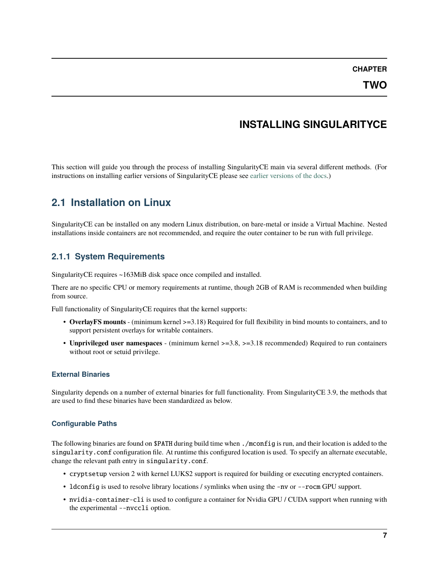#### **CHAPTER**

# **INSTALLING SINGULARITYCE**

<span id="page-8-0"></span>This section will guide you through the process of installing SingularityCE main via several different methods. (For instructions on installing earlier versions of SingularityCE please see [earlier versions of the docs.](https://www.sylabs.io/docs/))

# <span id="page-8-1"></span>**2.1 Installation on Linux**

SingularityCE can be installed on any modern Linux distribution, on bare-metal or inside a Virtual Machine. Nested installations inside containers are not recommended, and require the outer container to be run with full privilege.

# **2.1.1 System Requirements**

SingularityCE requires ~163MiB disk space once compiled and installed.

There are no specific CPU or memory requirements at runtime, though 2GB of RAM is recommended when building from source.

Full functionality of SingularityCE requires that the kernel supports:

- **OverlayFS mounts** (minimum kernel >=3.18) Required for full flexibility in bind mounts to containers, and to support persistent overlays for writable containers.
- **Unprivileged user namespaces** (minimum kernel >=3.8, >=3.18 recommended) Required to run containers without root or setuid privilege.

## **External Binaries**

Singularity depends on a number of external binaries for full functionality. From SingularityCE 3.9, the methods that are used to find these binaries have been standardized as below.

## **Configurable Paths**

The following binaries are found on \$PATH during build time when ./mconfig is run, and their location is added to the singularity.conf configuration file. At runtime this configured location is used. To specify an alternate executable, change the relevant path entry in singularity.conf.

- cryptsetup version 2 with kernel LUKS2 support is required for building or executing encrypted containers.
- ldconfig is used to resolve library locations / symlinks when using the -nv or --rocm GPU support.
- nvidia-container-cli is used to configure a container for Nvidia GPU / CUDA support when running with the experimental --nvccli option.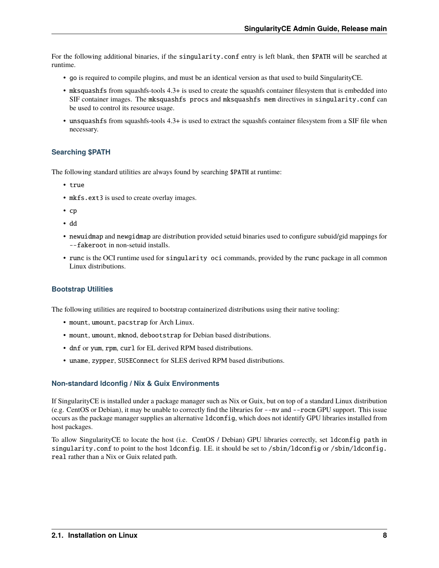For the following additional binaries, if the singularity.conf entry is left blank, then \$PATH will be searched at runtime.

- go is required to compile plugins, and must be an identical version as that used to build SingularityCE.
- mksquashfs from squashfs-tools 4.3+ is used to create the squashfs container filesystem that is embedded into SIF container images. The mksquashfs procs and mksquashfs mem directives in singularity.conf can be used to control its resource usage.
- unsquashfs from squashfs-tools 4.3+ is used to extract the squashfs container filesystem from a SIF file when necessary.

#### **Searching \$PATH**

The following standard utilities are always found by searching \$PATH at runtime:

- true
- mkfs.ext3 is used to create overlay images.
- cp
- dd
- newuidmap and newgidmap are distribution provided setuid binaries used to configure subuid/gid mappings for --fakeroot in non-setuid installs.
- runc is the OCI runtime used for singularity oci commands, provided by the runc package in all common Linux distributions.

#### **Bootstrap Utilities**

The following utilities are required to bootstrap containerized distributions using their native tooling:

- mount, umount, pacstrap for Arch Linux.
- mount, umount, mknod, debootstrap for Debian based distributions.
- dnf or yum, rpm, curl for EL derived RPM based distributions.
- uname, zypper, SUSEConnect for SLES derived RPM based distributions.

#### **Non-standard ldconfig / Nix & Guix Environments**

If SingularityCE is installed under a package manager such as Nix or Guix, but on top of a standard Linux distribution (e.g. CentOS or Debian), it may be unable to correctly find the libraries for --nv and --rocm GPU support. This issue occurs as the package manager supplies an alternative ldconfig, which does not identify GPU libraries installed from host packages.

To allow SingularityCE to locate the host (i.e. CentOS / Debian) GPU libraries correctly, set ldconfig path in singularity.conf to point to the host ldconfig. I.E. it should be set to /sbin/ldconfig or /sbin/ldconfig. real rather than a Nix or Guix related path.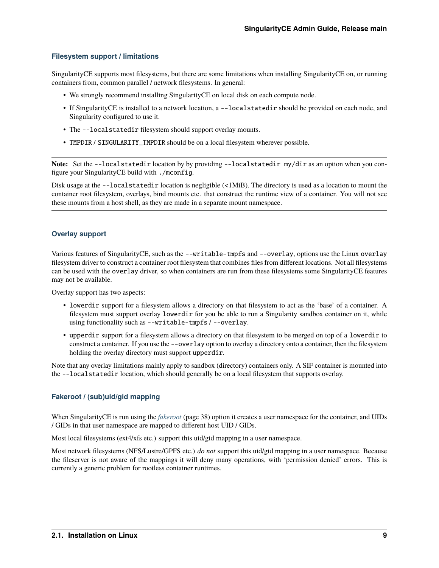#### **Filesystem support / limitations**

SingularityCE supports most filesystems, but there are some limitations when installing SingularityCE on, or running containers from, common parallel / network filesystems. In general:

- We strongly recommend installing SingularityCE on local disk on each compute node.
- If SingularityCE is installed to a network location, a --localstatedir should be provided on each node, and Singularity configured to use it.
- The --localstatedir filesystem should support overlay mounts.
- TMPDIR / SINGULARITY\_TMPDIR should be on a local filesystem wherever possible.

Note: Set the --localstatedir location by by providing --localstatedir my/dir as an option when you configure your SingularityCE build with ./mconfig.

Disk usage at the --localstatedir location is negligible (<1MiB). The directory is used as a location to mount the container root filesystem, overlays, bind mounts etc. that construct the runtime view of a container. You will not see these mounts from a host shell, as they are made in a separate mount namespace.

#### **Overlay support**

Various features of SingularityCE, such as the --writable-tmpfs and --overlay, options use the Linux overlay filesystem driver to construct a container root filesystem that combines files from different locations. Not all filesystems can be used with the overlay driver, so when containers are run from these filesystems some SingularityCE features may not be available.

Overlay support has two aspects:

- lowerdir support for a filesystem allows a directory on that filesystem to act as the 'base' of a container. A filesystem must support overlay lowerdir for you be able to run a Singularity sandbox container on it, while using functionality such as --writable-tmpfs / --overlay.
- upperdir support for a filesystem allows a directory on that filesystem to be merged on top of a lowerdir to construct a container. If you use the --overlay option to overlay a directory onto a container, then the filesystem holding the overlay directory must support upperdir.

Note that any overlay limitations mainly apply to sandbox (directory) containers only. A SIF container is mounted into the --localstatedir location, which should generally be on a local filesystem that supports overlay.

#### **Fakeroot / (sub)uid/gid mapping**

When SingularityCE is run using the *[fakeroot](#page-39-0)* (page 38) option it creates a user namespace for the container, and UIDs / GIDs in that user namespace are mapped to different host UID / GIDs.

Most local filesystems (ext4/xfs etc.) support this uid/gid mapping in a user namespace.

Most network filesystems (NFS/Lustre/GPFS etc.) *do not* support this uid/gid mapping in a user namespace. Because the fileserver is not aware of the mappings it will deny many operations, with 'permission denied' errors. This is currently a generic problem for rootless container runtimes.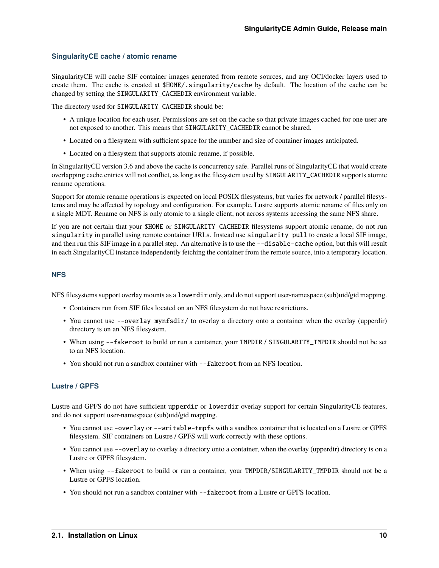#### **SingularityCE cache / atomic rename**

SingularityCE will cache SIF container images generated from remote sources, and any OCI/docker layers used to create them. The cache is created at \$HOME/.singularity/cache by default. The location of the cache can be changed by setting the SINGULARITY\_CACHEDIR environment variable.

The directory used for SINGULARITY\_CACHEDIR should be:

- A unique location for each user. Permissions are set on the cache so that private images cached for one user are not exposed to another. This means that SINGULARITY\_CACHEDIR cannot be shared.
- Located on a filesystem with sufficient space for the number and size of container images anticipated.
- Located on a filesystem that supports atomic rename, if possible.

In SingularityCE version 3.6 and above the cache is concurrency safe. Parallel runs of SingularityCE that would create overlapping cache entries will not conflict, as long as the filesystem used by SINGULARITY\_CACHEDIR supports atomic rename operations.

Support for atomic rename operations is expected on local POSIX filesystems, but varies for network / parallel filesystems and may be affected by topology and configuration. For example, Lustre supports atomic rename of files only on a single MDT. Rename on NFS is only atomic to a single client, not across systems accessing the same NFS share.

If you are not certain that your \$HOME or SINGULARITY\_CACHEDIR filesystems support atomic rename, do not run singularity in parallel using remote container URLs. Instead use singularity pull to create a local SIF image, and then run this SIF image in a parallel step. An alternative is to use the --disable-cache option, but this will result in each SingularityCE instance independently fetching the container from the remote source, into a temporary location.

#### **NFS**

NFS filesystems support overlay mounts as a lowerdir only, and do not support user-namespace (sub)uid/gid mapping.

- Containers run from SIF files located on an NFS filesystem do not have restrictions.
- You cannot use --overlay mynfsdir/ to overlay a directory onto a container when the overlay (upperdir) directory is on an NFS filesystem.
- When using --fakeroot to build or run a container, your TMPDIR / SINGULARITY\_TMPDIR should not be set to an NFS location.
- You should not run a sandbox container with --fakeroot from an NFS location.

#### **Lustre / GPFS**

Lustre and GPFS do not have sufficient upperdir or lowerdir overlay support for certain SingularityCE features, and do not support user-namespace (sub)uid/gid mapping.

- You cannot use -overlay or --writable-tmpfs with a sandbox container that is located on a Lustre or GPFS filesystem. SIF containers on Lustre / GPFS will work correctly with these options.
- You cannot use --overlay to overlay a directory onto a container, when the overlay (upperdir) directory is on a Lustre or GPFS filesystem.
- When using  $-$ -fakeroot to build or run a container, your TMPDIR/SINGULARITY\_TMPDIR should not be a Lustre or GPFS location.
- You should not run a sandbox container with --fakeroot from a Lustre or GPFS location.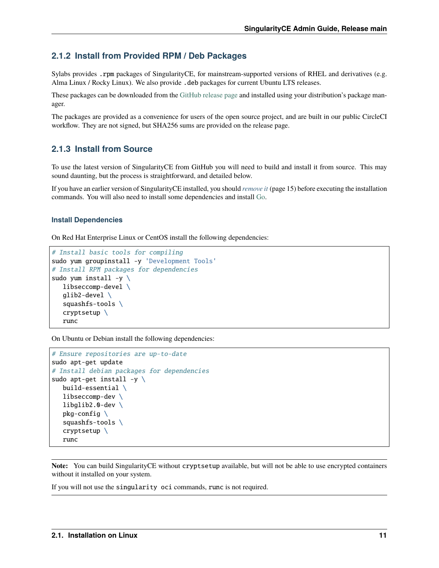## **2.1.2 Install from Provided RPM / Deb Packages**

Sylabs provides .rpm packages of SingularityCE, for mainstream-supported versions of RHEL and derivatives (e.g. Alma Linux / Rocky Linux). We also provide .deb packages for current Ubuntu LTS releases.

These packages can be downloaded from the [GitHub release page](https://github.com/sylabs/singularity/releases) and installed using your distribution's package manager.

The packages are provided as a convenience for users of the open source project, and are built in our public CircleCI workflow. They are not signed, but SHA256 sums are provided on the release page.

#### <span id="page-12-0"></span>**2.1.3 Install from Source**

To use the latest version of SingularityCE from GitHub you will need to build and install it from source. This may sound daunting, but the process is straightforward, and detailed below.

If you have an earlier version of SingularityCE installed, you should *[remove it](#page-16-0)* (page 15) before executing the installation commands. You will also need to install some dependencies and install [Go.](https://golang.org/)

#### **Install Dependencies**

On Red Hat Enterprise Linux or CentOS install the following dependencies:

```
# Install basic tools for compiling
sudo yum groupinstall -y 'Development Tools'
# Install RPM packages for dependencies
sudo yum install -y \backslashlibseccomp-devel \
   glib2-devel \
   squashfs-tools \
   cryptsetup \
   runc
```
On Ubuntu or Debian install the following dependencies:

```
# Ensure repositories are up-to-date
sudo apt-get update
# Install debian packages for dependencies
sudo apt-get install -y \ \build-essential \
   libseccomp-dev \
   libglib2.0-dev \
   pkg-config \setminussquashfs-tools \
   cryptsetup \
   runc
```
**Note:** You can build SingularityCE without cryptsetup available, but will not be able to use encrypted containers without it installed on your system.

If you will not use the singularity oci commands, runc is not required.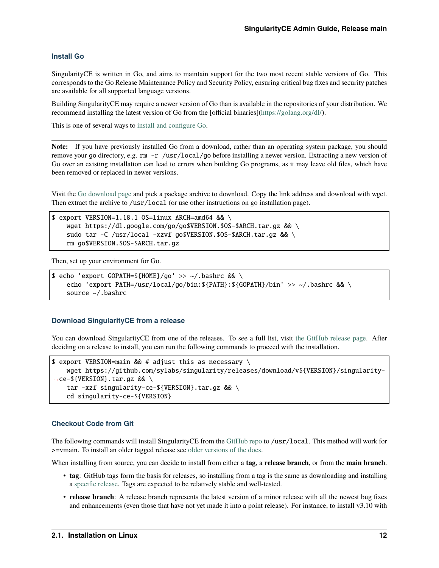#### <span id="page-13-0"></span>**Install Go**

SingularityCE is written in Go, and aims to maintain support for the two most recent stable versions of Go. This corresponds to the Go Release Maintenance Policy and Security Policy, ensuring critical bug fixes and security patches are available for all supported language versions.

Building SingularityCE may require a newer version of Go than is available in the repositories of your distribution. We recommend installing the latest version of Go from the [official binaries][\(https://golang.org/dl/\)](https://golang.org/dl/).

This is one of several ways to [install and configure Go.](https://golang.org/doc/install)

**Note:** If you have previously installed Go from a download, rather than an operating system package, you should remove your go directory, e.g. rm -r /usr/local/go before installing a newer version. Extracting a new version of Go over an existing installation can lead to errors when building Go programs, as it may leave old files, which have been removed or replaced in newer versions.

Visit the [Go download page](https://golang.org/dl/) and pick a package archive to download. Copy the link address and download with wget. Then extract the archive to /usr/local (or use other instructions on go installation page).

```
$ export VERSION=1.18.1 OS=linux ARCH=amd64 && \
   wget https://dl.google.com/go/go$VERSION.$OS-$ARCH.tar.gz && \
   sudo tar -C /usr/local -xzvf go$VERSION.$OS-$ARCH.tar.gz && \
   rm go$VERSION.$OS-$ARCH.tar.gz
```
Then, set up your environment for Go.

```
$ echo 'export GOPATH=${HOME}/go' >> ~/.bashrc && \
   echo 'export PATH=/usr/local/go/bin:${PATH}:${GOPATH}/bin' >> ~/.bashrc && \
   source ~/.bashrc
```
#### **Download SingularityCE from a release**

You can download SingularityCE from one of the releases. To see a full list, visit [the GitHub release page.](https://github.com/sylabs/singularity/releases) After deciding on a release to install, you can run the following commands to proceed with the installation.

```
$ export VERSION=main && # adjust this as necessary \
   wget https://github.com/sylabs/singularity/releases/download/v${VERSION}/singularity-
˓→ce-${VERSION}.tar.gz && \
   tar -xzf singularity-ce-${VERSION}.tar.gz && \
   cd singularity-ce-${VERSION}
```
#### **Checkout Code from Git**

The following commands will install SingularityCE from the [GitHub repo](https://github.com/sylabs/singularity) to /usr/local. This method will work for >=vmain. To install an older tagged release see [older versions of the docs.](https://www.sylabs.io/docs/)

When installing from source, you can decide to install from either a **tag**, a **release branch**, or from the **main branch**.

- **tag**: GitHub tags form the basis for releases, so installing from a tag is the same as downloading and installing a [specific release.](https://github.com/sylabs/singularity/releases) Tags are expected to be relatively stable and well-tested.
- **release branch**: A release branch represents the latest version of a minor release with all the newest bug fixes and enhancements (even those that have not yet made it into a point release). For instance, to install v3.10 with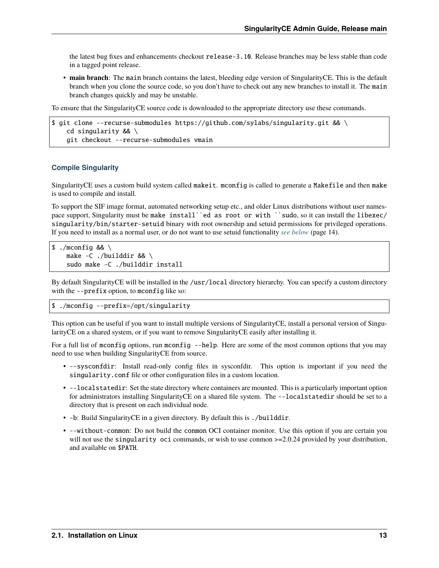the latest bug fixes and enhancements checkout release-3.10. Release branches may be less stable than code in a tagged point release.

• **main branch**: The main branch contains the latest, bleeding edge version of SingularityCE. This is the default branch when you clone the source code, so you don't have to check out any new branches to install it. The main branch changes quickly and may be unstable.

To ensure that the SingularityCE source code is downloaded to the appropriate directory use these commands.

```
$ git clone --recurse-submodules https://github.com/sylabs/singularity.git && \
   cd singularity && \
    git checkout --recurse-submodules vmain
```
#### **Compile Singularity**

SingularityCE uses a custom build system called makeit. mconfig is called to generate a Makefile and then make is used to compile and install.

To support the SIF image format, automated networking setup etc., and older Linux distributions without user namespace support, Singularity must be make install``ed as root or with ``sudo, so it can install the libexec/ singularity/bin/starter-setuid binary with root ownership and setuid permissions for privileged operations. If you need to install as a normal user, or do not want to use setuid functionality *[see below](#page-15-0)* (page 14).

```
$./mconfig && \
   make -C./builddir && \
   sudo make -C ./builddir install
```
By default SingularityCE will be installed in the /usr/local directory hierarchy. You can specify a custom directory with the --prefix option, to mconfig like so:

#### \$ ./mconfig --prefix=/opt/singularity

This option can be useful if you want to install multiple versions of SingularityCE, install a personal version of SingularityCE on a shared system, or if you want to remove SingularityCE easily after installing it.

For a full list of mconfig options, run mconfig --help. Here are some of the most common options that you may need to use when building SingularityCE from source.

- --sysconfdir: Install read-only config files in sysconfdir. This option is important if you need the singularity.conf file or other configuration files in a custom location.
- --localstatedir: Set the state directory where containers are mounted. This is a particularly important option for administrators installing SingularityCE on a shared file system. The --localstatedir should be set to a directory that is present on each individual node.
- -b: Build SingularityCE in a given directory. By default this is ./builddir.
- --without-conmon: Do not build the conmon OCI container monitor. Use this option if you are certain you will not use the singularity oci commands, or wish to use conmon  $\geq$  2.0.24 provided by your distribution, and available on \$PATH.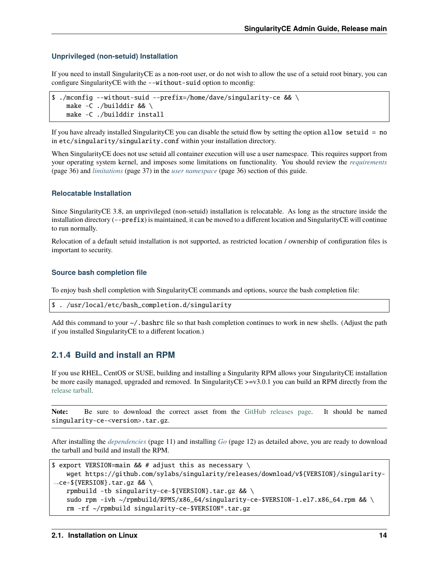#### <span id="page-15-0"></span>**Unprivileged (non-setuid) Installation**

If you need to install SingularityCE as a non-root user, or do not wish to allow the use of a setuid root binary, you can configure SingularityCE with the --without-suid option to mconfig:

```
$ ./mconfig --without-suid --prefix=/home/dave/singularity-ce && \
   make -C ./builddir && \
   make -C ./builddir install
```
If you have already installed SingularityCE you can disable the setuid flow by setting the option allow setuid = no in etc/singularity/singularity.conf within your installation directory.

When SingularityCE does not use setuid all container execution will use a user namespace. This requires support from your operating system kernel, and imposes some limitations on functionality. You should review the *[requirements](#page-37-1)* (page 36) and *[limitations](#page-38-0)* (page 37) in the *[user namespace](#page-37-0)* (page 36) section of this guide.

#### **Relocatable Installation**

Since SingularityCE 3.8, an unprivileged (non-setuid) installation is relocatable. As long as the structure inside the installation directory (--prefix) is maintained, it can be moved to a different location and SingularityCE will continue to run normally.

Relocation of a default setuid installation is not supported, as restricted location / ownership of configuration files is important to security.

#### **Source bash completion file**

To enjoy bash shell completion with SingularityCE commands and options, source the bash completion file:

```
$ . /usr/local/etc/bash_completion.d/singularity
```
Add this command to your  $\sim$ /.bashrc file so that bash completion continues to work in new shells. (Adjust the path if you installed SingularityCE to a different location.)

#### <span id="page-15-1"></span>**2.1.4 Build and install an RPM**

If you use RHEL, CentOS or SUSE, building and installing a Singularity RPM allows your SingularityCE installation be more easily managed, upgraded and removed. In SingularityCE >=v3.0.1 you can build an RPM directly from the [release tarball.](https://github.com/sylabs/singularity/releases)

**Note:** Be sure to download the correct asset from the [GitHub releases page.](https://github.com/sylabs/singularity/releases) It should be named singularity-ce-<version>.tar.gz.

After installing the *[dependencies](#page-12-0)* (page 11) and installing *[Go](#page-13-0)* (page 12) as detailed above, you are ready to download the tarball and build and install the RPM.

```
$ export VERSION=main && # adjust this as necessary \setminuswget https://github.com/sylabs/singularity/releases/download/v${VERSION}/singularity-
˓→ce-${VERSION}.tar.gz && \
   rpmbuild -tb singularity-ce-${VERSION}.tar.gz && \
   sudo rpm -ivh ~/rpmbuild/RPMS/x86_64/singularity-ce-$VERSION-1.el7.x86_64.rpm && \
   rm -rf ~/rpmbuild singularity-ce-$VERSION*.tar.gz
```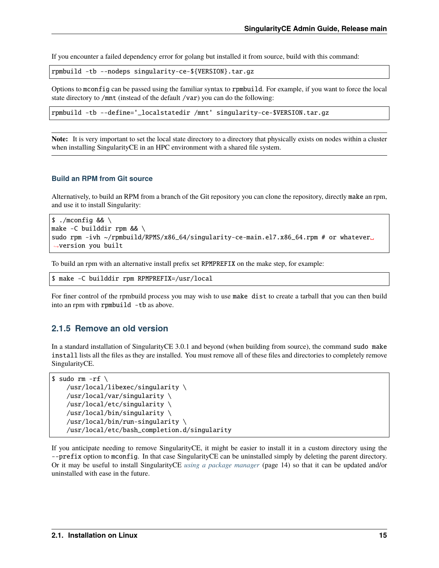If you encounter a failed dependency error for golang but installed it from source, build with this command:

```
rpmbuild -tb --nodeps singularity-ce-${VERSION}.tar.gz
```
Options to mconfig can be passed using the familiar syntax to rpmbuild. For example, if you want to force the local state directory to /mnt (instead of the default /var) you can do the following:

rpmbuild -tb --define='\_localstatedir /mnt' singularity-ce-\$VERSION.tar.gz

**Note:** It is very important to set the local state directory to a directory that physically exists on nodes within a cluster when installing SingularityCE in an HPC environment with a shared file system.

#### **Build an RPM from Git source**

Alternatively, to build an RPM from a branch of the Git repository you can clone the repository, directly make an rpm, and use it to install Singularity:

```
$./mconfiq && \
make -C builddir rpm && \
sudo rpm -ivh ~/rpmbuild/RPMS/x86_64/singularity-ce-main.el7.x86_64.rpm # or whatever.
˓→version you built
```
To build an rpm with an alternative install prefix set RPMPREFIX on the make step, for example:

```
$ make -C builddir rpm RPMPREFIX=/usr/local
```
For finer control of the rpmbuild process you may wish to use make dist to create a tarball that you can then build into an rpm with rpmbuild -tb as above.

#### <span id="page-16-0"></span>**2.1.5 Remove an old version**

In a standard installation of SingularityCE 3.0.1 and beyond (when building from source), the command sudo make install lists all the files as they are installed. You must remove all of these files and directories to completely remove SingularityCE.

```
$ sudo rm -rf \
   /usr/local/libexec/singularity \
   /usr/local/var/singularity \
   /usr/local/etc/singularity \
   /usr/local/bin/singularity \
   /usr/local/bin/run-singularity \
   /usr/local/etc/bash_completion.d/singularity
```
If you anticipate needing to remove SingularityCE, it might be easier to install it in a custom directory using the --prefix option to mconfig. In that case SingularityCE can be uninstalled simply by deleting the parent directory. Or it may be useful to install SingularityCE *[using a package manager](#page-15-1)* (page 14) so that it can be updated and/or uninstalled with ease in the future.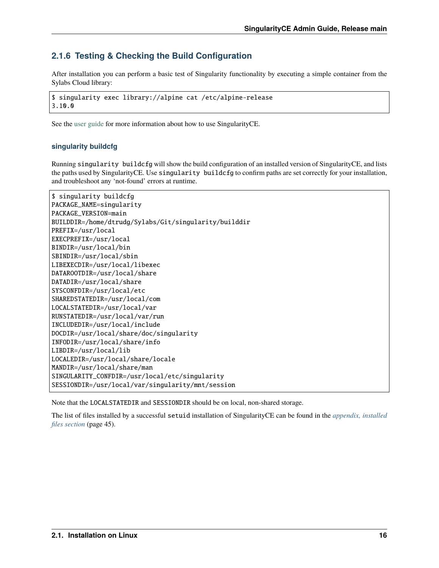## **2.1.6 Testing & Checking the Build Configuration**

After installation you can perform a basic test of Singularity functionality by executing a simple container from the Sylabs Cloud library:

\$ singularity exec library://alpine cat /etc/alpine-release 3.10.0

See the [user guide](https://www.sylabs.io/guides/main/user-guide/) for more information about how to use SingularityCE.

#### **singularity buildcfg**

Running singularity buildcfg will show the build configuration of an installed version of SingularityCE, and lists the paths used by SingularityCE. Use singularity buildcfg to confirm paths are set correctly for your installation, and troubleshoot any 'not-found' errors at runtime.

| \$ singularity buildcfg                               |  |  |  |
|-------------------------------------------------------|--|--|--|
| PACKAGE_NAME=singularity                              |  |  |  |
| PACKAGE_VERSION=main                                  |  |  |  |
| BUILDDIR=/home/dtrudg/Sylabs/Git/singularity/builddir |  |  |  |
| PREFIX=/usr/local                                     |  |  |  |
| EXECPREFIX=/usr/local                                 |  |  |  |
| BINDIR=/usr/local/bin                                 |  |  |  |
| SBINDIR=/usr/local/sbin                               |  |  |  |
| LIBEXECDIR=/usr/local/libexec                         |  |  |  |
| DATAROOTDIR=/usr/local/share                          |  |  |  |
| DATADIR=/usr/local/share                              |  |  |  |
| SYSCONFDIR=/usr/local/etc                             |  |  |  |
| SHAREDSTATEDIR=/usr/local/com                         |  |  |  |
| LOCALSTATEDIR=/usr/local/var                          |  |  |  |
| RUNSTATEDIR=/usr/local/var/run                        |  |  |  |
| INCLUDEDIR=/usr/local/include                         |  |  |  |
| DOCDIR=/usr/local/share/doc/singularity               |  |  |  |
| INFODIR=/usr/local/share/info                         |  |  |  |
| LIBDIR=/usr/local/lib                                 |  |  |  |
| LOCALEDIR=/usr/local/share/locale                     |  |  |  |
| MANDIR=/usr/local/share/man                           |  |  |  |
| SINGULARITY_CONFDIR=/usr/local/etc/singularity        |  |  |  |
| SESSIONDIR=/usr/local/var/singularity/mnt/session     |  |  |  |

Note that the LOCALSTATEDIR and SESSIONDIR should be on local, non-shared storage.

The list of files installed by a successful setuid installation of SingularityCE can be found in the *[appendix, installed](#page-46-0) [files section](#page-46-0)* (page 45).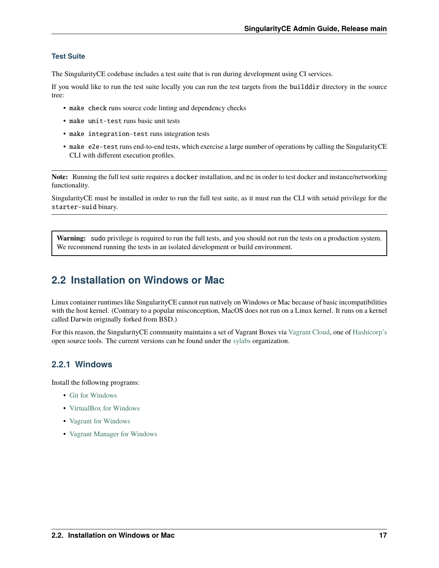#### **Test Suite**

The SingularityCE codebase includes a test suite that is run during development using CI services.

If you would like to run the test suite locally you can run the test targets from the builddir directory in the source tree:

- make check runs source code linting and dependency checks
- make unit-test runs basic unit tests
- make integration-test runs integration tests
- make e2e-test runs end-to-end tests, which exercise a large number of operations by calling the SingularityCE CLI with different execution profiles.

**Note:** Running the full test suite requires a docker installation, and nc in order to test docker and instance/networking functionality.

SingularityCE must be installed in order to run the full test suite, as it must run the CLI with setuid privilege for the starter-suid binary.

**Warning:** sudo privilege is required to run the full tests, and you should not run the tests on a production system. We recommend running the tests in an isolated development or build environment.

# <span id="page-18-0"></span>**2.2 Installation on Windows or Mac**

Linux container runtimes like SingularityCE cannot run natively on Windows or Mac because of basic incompatibilities with the host kernel. (Contrary to a popular misconception, MacOS does not run on a Linux kernel. It runs on a kernel called Darwin originally forked from BSD.)

For this reason, the SingularityCE community maintains a set of Vagrant Boxes via [Vagrant Cloud,](https://www.vagrantup.com/) one of [Hashicorp's](https://www.hashicorp.com/#open-source-tools) open source tools. The current versions can be found under the [sylabs](https://app.vagrantup.com/sylabs) organization.

## **2.2.1 Windows**

Install the following programs:

- [Git for Windows](https://git-for-windows.github.io/)
- [VirtualBox for Windows](https://www.virtualbox.org/wiki/Downloads)
- [Vagrant for Windows](https://www.vagrantup.com/downloads.html)
- [Vagrant Manager for Windows](http://vagrantmanager.com/downloads/)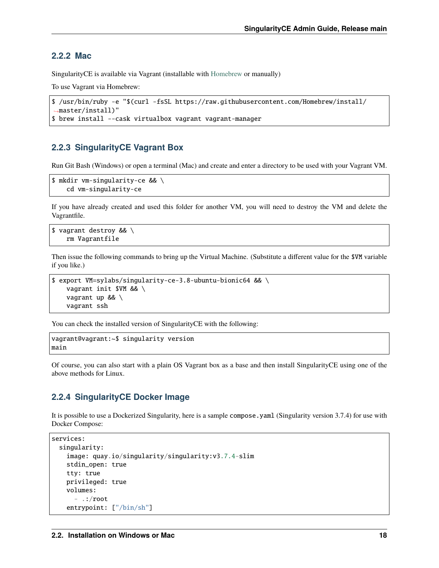#### **2.2.2 Mac**

SingularityCE is available via Vagrant (installable with [Homebrew](https://brew.sh) or manually)

To use Vagrant via Homebrew:

```
$ /usr/bin/ruby -e "$(curl -fsSL https://raw.githubusercontent.com/Homebrew/install/
˓→master/install)"
$ brew install --cask virtualbox vagrant vagrant-manager
```
## **2.2.3 SingularityCE Vagrant Box**

Run Git Bash (Windows) or open a terminal (Mac) and create and enter a directory to be used with your Vagrant VM.

```
$ mkdir vm-singularity-ce && \
    cd vm-singularity-ce
```
If you have already created and used this folder for another VM, you will need to destroy the VM and delete the Vagrantfile.

```
$ vagrant destroy && \
   rm Vagrantfile
```
Then issue the following commands to bring up the Virtual Machine. (Substitute a different value for the \$VM variable if you like.)

```
$ export VM=sylabs/singularity-ce-3.8-ubuntu-bionic64 && \
   vagrant init $VM && \
   vagrant up && \
   vagrant ssh
```
You can check the installed version of SingularityCE with the following:

```
vagrant@vagrant:~$ singularity version
main
```
Of course, you can also start with a plain OS Vagrant box as a base and then install SingularityCE using one of the above methods for Linux.

#### **2.2.4 SingularityCE Docker Image**

It is possible to use a Dockerized Singularity, here is a sample compose.yaml (Singularity version 3.7.4) for use with Docker Compose:

```
services:
 singularity:
   image: quay.io/singularity/singularity:v3.7.4-slim
   stdin_open: true
   tty: true
   privileged: true
   volumes:
      - .:/root
    entrypoint: ["/bin/sh"]
```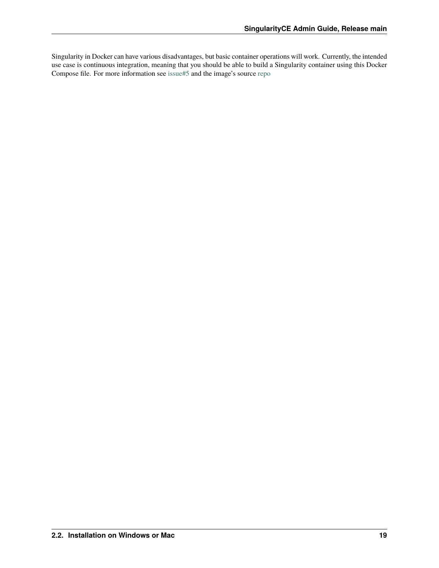Singularity in Docker can have various disadvantages, but basic container operations will work. Currently, the intended use case is continuous integration, meaning that you should be able to build a Singularity container using this Docker Compose file. For more information see [issue#5](https://github.com/sylabs/singularity-admindocs/issues/5#issuecomment-852307931) and the image's source [repo](https://github.com/singularityhub/singularity-docker#use-cases)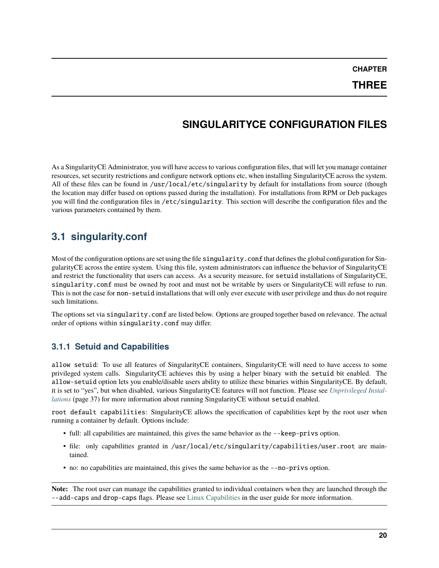**CHAPTER**

# **SINGULARITYCE CONFIGURATION FILES**

<span id="page-21-0"></span>As a SingularityCE Administrator, you will have access to various configuration files, that will let you manage container resources, set security restrictions and configure network options etc, when installing SingularityCE across the system. All of these files can be found in /usr/local/etc/singularity by default for installations from source (though the location may differ based on options passed during the installation). For installations from RPM or Deb packages you will find the configuration files in /etc/singularity. This section will describe the configuration files and the various parameters contained by them.

# <span id="page-21-1"></span>**3.1 singularity.conf**

Most of the configuration options are set using the file singularity.conf that defines the global configuration for SingularityCE across the entire system. Using this file, system administrators can influence the behavior of SingularityCE and restrict the functionality that users can access. As a security measure, for setuid installations of SingularityCE, singularity.conf must be owned by root and must not be writable by users or SingularityCE will refuse to run. This is not the case for non-setuid installations that will only ever execute with user privilege and thus do not require such limitations.

The options set via singularity.conf are listed below. Options are grouped together based on relevance. The actual order of options within singularity.conf may differ.

## **3.1.1 Setuid and Capabilities**

allow setuid: To use all features of SingularityCE containers, SingularityCE will need to have access to some privileged system calls. SingularityCE achieves this by using a helper binary with the setuid bit enabled. The allow-setuid option lets you enable/disable users ability to utilize these binaries within SingularityCE. By default, it is set to "yes", but when disabled, various SingularityCE features will not function. Please see *[Unprivileged Instal](#page-38-0)[lations](#page-38-0)* (page 37) for more information about running SingularityCE without setuid enabled.

root default capabilities: SingularityCE allows the specification of capabilities kept by the root user when running a container by default. Options include:

- full: all capabilities are maintained, this gives the same behavior as the --keep-privs option.
- file: only capabilities granted in /usr/local/etc/singularity/capabilities/user.root are maintained.
- no: no capabilities are maintained, this gives the same behavior as the --no-privs option.

**Note:** The root user can manage the capabilities granted to individual containers when they are launched through the --add-caps and drop-caps flags. Please see [Linux Capabilities](https://sylabs.io/guides/main/user-guide/security_options.html#linux-capabilities) in the user guide for more information.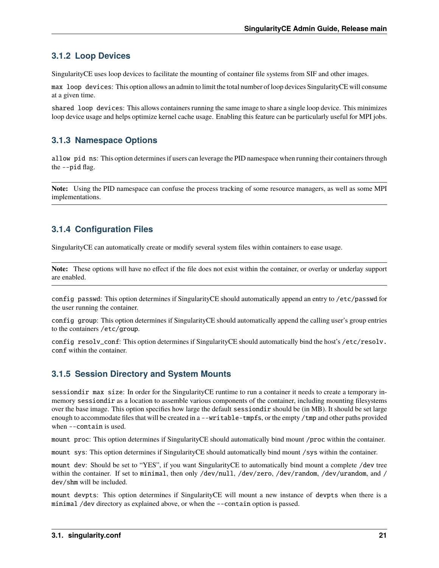## **3.1.2 Loop Devices**

SingularityCE uses loop devices to facilitate the mounting of container file systems from SIF and other images.

max loop devices: This option allows an admin to limit the total number of loop devices SingularityCE will consume at a given time.

shared loop devices: This allows containers running the same image to share a single loop device. This minimizes loop device usage and helps optimize kernel cache usage. Enabling this feature can be particularly useful for MPI jobs.

## **3.1.3 Namespace Options**

allow pid ns: This option determines if users can leverage the PID namespace when running their containers through the --pid flag.

**Note:** Using the PID namespace can confuse the process tracking of some resource managers, as well as some MPI implementations.

## **3.1.4 Configuration Files**

SingularityCE can automatically create or modify several system files within containers to ease usage.

**Note:** These options will have no effect if the file does not exist within the container, or overlay or underlay support are enabled.

config passwd: This option determines if SingularityCE should automatically append an entry to /etc/passwd for the user running the container.

config group: This option determines if SingularityCE should automatically append the calling user's group entries to the containers /etc/group.

config resolv\_conf: This option determines if SingularityCE should automatically bind the host's /etc/resolv. conf within the container.

## **3.1.5 Session Directory and System Mounts**

sessiondir max size: In order for the SingularityCE runtime to run a container it needs to create a temporary inmemory sessiondir as a location to assemble various components of the container, including mounting filesystems over the base image. This option specifies how large the default sessiondir should be (in MB). It should be set large enough to accommodate files that will be created in a --writable-tmpfs, or the empty /tmp and other paths provided when --contain is used.

mount proc: This option determines if SingularityCE should automatically bind mount /proc within the container.

mount sys: This option determines if SingularityCE should automatically bind mount /sys within the container.

mount dev: Should be set to "YES", if you want SingularityCE to automatically bind mount a complete /dev tree within the container. If set to minimal, then only /dev/null, /dev/zero, /dev/random, /dev/urandom, and / dev/shm will be included.

mount devpts: This option determines if SingularityCE will mount a new instance of devpts when there is a minimal /dev directory as explained above, or when the --contain option is passed.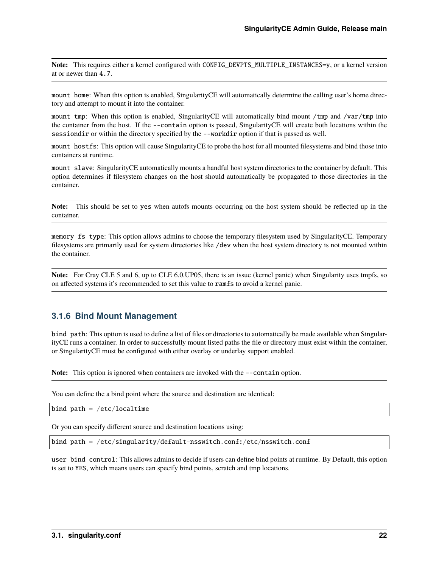Note: This requires either a kernel configured with CONFIG\_DEVPTS\_MULTIPLE\_INSTANCES=y, or a kernel version at or newer than 4.7.

mount home: When this option is enabled, SingularityCE will automatically determine the calling user's home directory and attempt to mount it into the container.

mount tmp: When this option is enabled, SingularityCE will automatically bind mount /tmp and /var/tmp into the container from the host. If the --contain option is passed, SingularityCE will create both locations within the sessiondir or within the directory specified by the --workdir option if that is passed as well.

mount hostfs: This option will cause SingularityCE to probe the host for all mounted filesystems and bind those into containers at runtime.

mount slave: SingularityCE automatically mounts a handful host system directories to the container by default. This option determines if filesystem changes on the host should automatically be propagated to those directories in the container.

**Note:** This should be set to yes when autofs mounts occurring on the host system should be reflected up in the container.

memory fs type: This option allows admins to choose the temporary filesystem used by SingularityCE. Temporary filesystems are primarily used for system directories like /dev when the host system directory is not mounted within the container.

**Note:** For Cray CLE 5 and 6, up to CLE 6.0.UP05, there is an issue (kernel panic) when Singularity uses tmpfs, so on affected systems it's recommended to set this value to ramfs to avoid a kernel panic.

#### **3.1.6 Bind Mount Management**

bind path: This option is used to define a list of files or directories to automatically be made available when SingularityCE runs a container. In order to successfully mount listed paths the file or directory must exist within the container, or SingularityCE must be configured with either overlay or underlay support enabled.

**Note:** This option is ignored when containers are invoked with the  $-$ -contain option.

You can define the a bind point where the source and destination are identical:

bind path =  $/etc/localtime$ 

Or you can specify different source and destination locations using:

bind path = /etc/singularity/default-nsswitch.conf:/etc/nsswitch.conf

user bind control: This allows admins to decide if users can define bind points at runtime. By Default, this option is set to YES, which means users can specify bind points, scratch and tmp locations.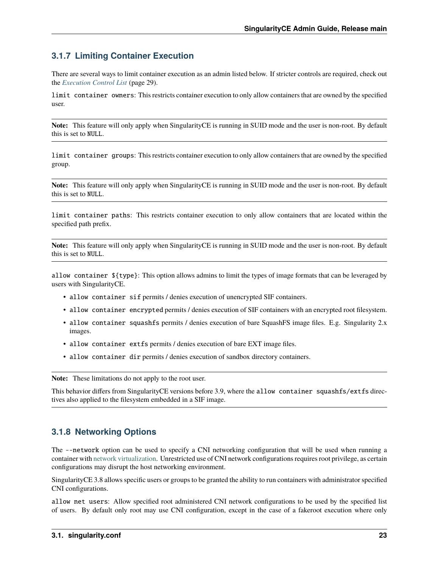## **3.1.7 Limiting Container Execution**

There are several ways to limit container execution as an admin listed below. If stricter controls are required, check out the *[Execution Control List](#page-30-0)* (page 29).

limit container owners: This restricts container execution to only allow containers that are owned by the specified user.

**Note:** This feature will only apply when SingularityCE is running in SUID mode and the user is non-root. By default this is set to NULL.

limit container groups: This restricts container execution to only allow containers that are owned by the specified group.

**Note:** This feature will only apply when SingularityCE is running in SUID mode and the user is non-root. By default this is set to NULL.

limit container paths: This restricts container execution to only allow containers that are located within the specified path prefix.

**Note:** This feature will only apply when SingularityCE is running in SUID mode and the user is non-root. By default this is set to NULL.

allow container \${type}: This option allows admins to limit the types of image formats that can be leveraged by users with SingularityCE.

- allow container sif permits / denies execution of unencrypted SIF containers.
- allow container encrypted permits / denies execution of SIF containers with an encrypted root filesystem.
- allow container squashfs permits / denies execution of bare SquashFS image files. E.g. Singularity 2.x images.
- allow container extfs permits / denies execution of bare EXT image files.
- allow container dir permits / denies execution of sandbox directory containers.

**Note:** These limitations do not apply to the root user.

This behavior differs from SingularityCE versions before 3.9, where the allow container squashfs/extfs directives also applied to the filesystem embedded in a SIF image.

## **3.1.8 Networking Options**

The --network option can be used to specify a CNI networking configuration that will be used when running a container with [network virtualization.](https://sylabs.io/guides/main/user-guide/networking.html) Unrestricted use of CNI network configurations requires root privilege, as certain configurations may disrupt the host networking environment.

SingularityCE 3.8 allows specific users or groups to be granted the ability to run containers with administrator specified CNI configurations.

allow net users: Allow specified root administered CNI network configurations to be used by the specified list of users. By default only root may use CNI configuration, except in the case of a fakeroot execution where only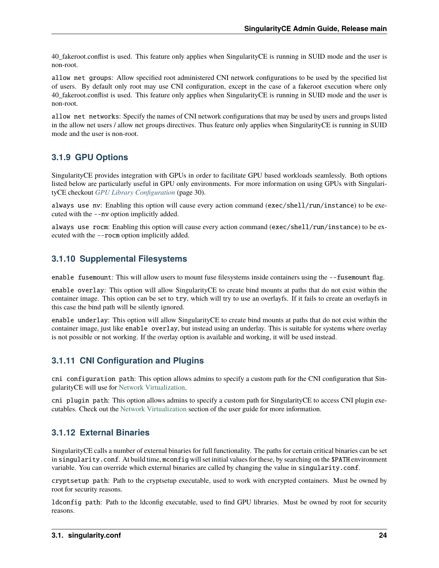40\_fakeroot.conflist is used. This feature only applies when SingularityCE is running in SUID mode and the user is non-root.

allow net groups: Allow specified root administered CNI network configurations to be used by the specified list of users. By default only root may use CNI configuration, except in the case of a fakeroot execution where only 40\_fakeroot.conflist is used. This feature only applies when SingularityCE is running in SUID mode and the user is non-root.

allow net networks: Specify the names of CNI network configurations that may be used by users and groups listed in the allow net users / allow net groups directives. Thus feature only applies when SingularityCE is running in SUID mode and the user is non-root.

## **3.1.9 GPU Options**

SingularityCE provides integration with GPUs in order to facilitate GPU based workloads seamlessly. Both options listed below are particularly useful in GPU only environments. For more information on using GPUs with SingularityCE checkout *[GPU Library Configuration](#page-31-0)* (page 30).

always use nv: Enabling this option will cause every action command (exec/shell/run/instance) to be executed with the --nv option implicitly added.

always use rocm: Enabling this option will cause every action command (exec/shell/run/instance) to be executed with the --rocm option implicitly added.

## **3.1.10 Supplemental Filesystems**

enable fusemount: This will allow users to mount fuse filesystems inside containers using the --fusemount flag.

enable overlay: This option will allow SingularityCE to create bind mounts at paths that do not exist within the container image. This option can be set to try, which will try to use an overlayfs. If it fails to create an overlayfs in this case the bind path will be silently ignored.

enable underlay: This option will allow SingularityCE to create bind mounts at paths that do not exist within the container image, just like enable overlay, but instead using an underlay. This is suitable for systems where overlay is not possible or not working. If the overlay option is available and working, it will be used instead.

## **3.1.11 CNI Configuration and Plugins**

cni configuration path: This option allows admins to specify a custom path for the CNI configuration that SingularityCE will use for [Network Virtualization.](https://sylabs.io/guides/main/user-guide/networking.html)

cni plugin path: This option allows admins to specify a custom path for SingularityCE to access CNI plugin executables. Check out the [Network Virtualization](https://sylabs.io/guides/main/user-guide/networking.html) section of the user guide for more information.

## **3.1.12 External Binaries**

SingularityCE calls a number of external binaries for full functionality. The paths for certain critical binaries can be set in singularity.conf. At build time, mconfig will set initial values for these, by searching on the \$PATH environment variable. You can override which external binaries are called by changing the value in singularity.conf.

cryptsetup path: Path to the cryptsetup executable, used to work with encrypted containers. Must be owned by root for security reasons.

ldconfig path: Path to the ldconfig executable, used to find GPU libraries. Must be owned by root for security reasons.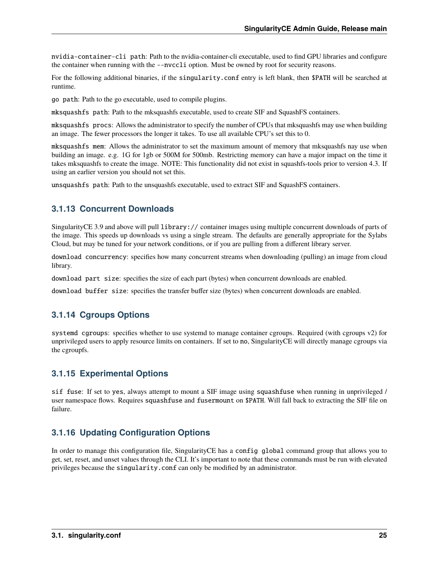nvidia-container-cli path: Path to the nvidia-container-cli executable, used to find GPU libraries and configure the container when running with the --nvccli option. Must be owned by root for security reasons.

For the following additional binaries, if the singularity.conf entry is left blank, then \$PATH will be searched at runtime.

go path: Path to the go executable, used to compile plugins.

mksquashfs path: Path to the mksquashfs executable, used to create SIF and SquashFS containers.

mksquashfs procs: Allows the administrator to specify the number of CPUs that mksquashfs may use when building an image. The fewer processors the longer it takes. To use all available CPU's set this to 0.

mksquashfs mem: Allows the administrator to set the maximum amount of memory that mksquashfs nay use when building an image. e.g. 1G for 1gb or 500M for 500mb. Restricting memory can have a major impact on the time it takes mksquashfs to create the image. NOTE: This functionality did not exist in squashfs-tools prior to version 4.3. If using an earlier version you should not set this.

unsquashfs path: Path to the unsquashfs executable, used to extract SIF and SquashFS containers.

## **3.1.13 Concurrent Downloads**

SingularityCE 3.9 and above will pull library:// container images using multiple concurrent downloads of parts of the image. This speeds up downloads vs using a single stream. The defaults are generally appropriate for the Sylabs Cloud, but may be tuned for your network conditions, or if you are pulling from a different library server.

download concurrency: specifies how many concurrent streams when downloading (pulling) an image from cloud library.

download part size: specifies the size of each part (bytes) when concurrent downloads are enabled.

download buffer size: specifies the transfer buffer size (bytes) when concurrent downloads are enabled.

## **3.1.14 Cgroups Options**

systemd cgroups: specifies whether to use systemd to manage container cgroups. Required (with cgroups v2) for unprivileged users to apply resource limits on containers. If set to no, SingularityCE will directly manage cgroups via the cgroupfs.

## **3.1.15 Experimental Options**

sif fuse: If set to yes, always attempt to mount a SIF image using squashfuse when running in unprivileged / user namespace flows. Requires squashfuse and fusermount on \$PATH. Will fall back to extracting the SIF file on failure.

## **3.1.16 Updating Configuration Options**

In order to manage this configuration file, SingularityCE has a config global command group that allows you to get, set, reset, and unset values through the CLI. It's important to note that these commands must be run with elevated privileges because the singularity.conf can only be modified by an administrator.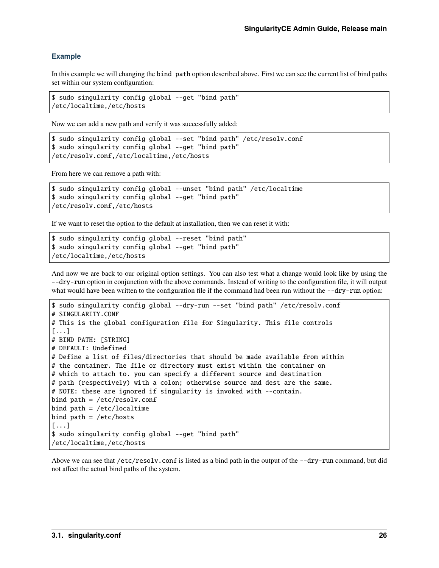#### **Example**

In this example we will changing the bind path option described above. First we can see the current list of bind paths set within our system configuration:

\$ sudo singularity config global --get "bind path" /etc/localtime,/etc/hosts

Now we can add a new path and verify it was successfully added:

```
$ sudo singularity config global --set "bind path" /etc/resolv.conf
$ sudo singularity config global --get "bind path"
/etc/resolv.conf,/etc/localtime,/etc/hosts
```
From here we can remove a path with:

```
$ sudo singularity config global --unset "bind path" /etc/localtime
$ sudo singularity config global --get "bind path"
/etc/resolv.conf,/etc/hosts
```
If we want to reset the option to the default at installation, then we can reset it with:

```
$ sudo singularity config global --reset "bind path"
$ sudo singularity config global --get "bind path"
/etc/localtime,/etc/hosts
```
And now we are back to our original option settings. You can also test what a change would look like by using the --dry-run option in conjunction with the above commands. Instead of writing to the configuration file, it will output what would have been written to the configuration file if the command had been run without the --dry-run option:

```
$ sudo singularity config global --dry-run --set "bind path" /etc/resolv.conf
# SINGULARITY.CONF
# This is the global configuration file for Singularity. This file controls
[...]
# BIND PATH: [STRING]
# DEFAULT: Undefined
# Define a list of files/directories that should be made available from within
# the container. The file or directory must exist within the container on
# which to attach to. you can specify a different source and destination
# path (respectively) with a colon; otherwise source and dest are the same.
# NOTE: these are ignored if singularity is invoked with --contain.
bind path = /etc/resolv.comfbind path = /etc/localtimebind path = /etc/hosts[...]
$ sudo singularity config global --get "bind path"
/etc/localtime,/etc/hosts
```
Above we can see that /etc/resolv.conf is listed as a bind path in the output of the --dry-run command, but did not affect the actual bind paths of the system.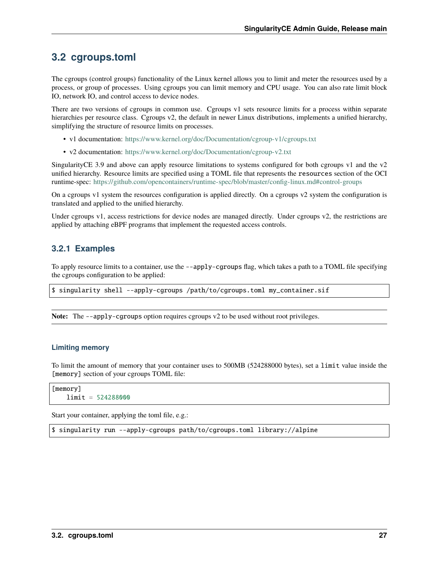# <span id="page-28-0"></span>**3.2 cgroups.toml**

The cgroups (control groups) functionality of the Linux kernel allows you to limit and meter the resources used by a process, or group of processes. Using cgroups you can limit memory and CPU usage. You can also rate limit block IO, network IO, and control access to device nodes.

There are two versions of cgroups in common use. Cgroups v1 sets resource limits for a process within separate hierarchies per resource class. Cgroups v2, the default in newer Linux distributions, implements a unified hierarchy, simplifying the structure of resource limits on processes.

- v1 documentation: <https://www.kernel.org/doc/Documentation/cgroup-v1/cgroups.txt>
- v2 documentation: <https://www.kernel.org/doc/Documentation/cgroup-v2.txt>

SingularityCE 3.9 and above can apply resource limitations to systems configured for both cgroups v1 and the v2 unified hierarchy. Resource limits are specified using a TOML file that represents the resources section of the OCI runtime-spec: <https://github.com/opencontainers/runtime-spec/blob/master/config-linux.md#control-groups>

On a cgroups v1 system the resources configuration is applied directly. On a cgroups v2 system the configuration is translated and applied to the unified hierarchy.

Under cgroups v1, access restrictions for device nodes are managed directly. Under cgroups v2, the restrictions are applied by attaching eBPF programs that implement the requested access controls.

## **3.2.1 Examples**

To apply resource limits to a container, use the --apply-cgroups flag, which takes a path to a TOML file specifying the cgroups configuration to be applied:

\$ singularity shell --apply-cgroups /path/to/cgroups.toml my\_container.sif

**Note:** The --apply-cgroups option requires cgroups v2 to be used without root privileges.

#### **Limiting memory**

To limit the amount of memory that your container uses to 500MB (524288000 bytes), set a limit value inside the [memory] section of your cgroups TOML file:

```
[memory]
   limit = 524288000
```
Start your container, applying the toml file, e.g.:

\$ singularity run --apply-cgroups path/to/cgroups.toml library://alpine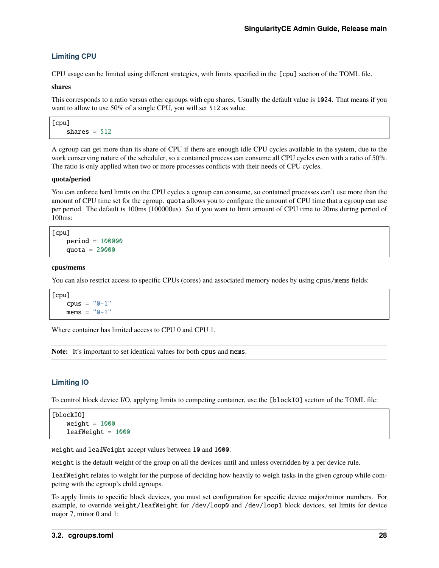#### **Limiting CPU**

CPU usage can be limited using different strategies, with limits specified in the [cpu] section of the TOML file.

#### **shares**

This corresponds to a ratio versus other cgroups with cpu shares. Usually the default value is 1024. That means if you want to allow to use 50% of a single CPU, you will set 512 as value.

```
[cpu]
   shares = 512
```
A cgroup can get more than its share of CPU if there are enough idle CPU cycles available in the system, due to the work conserving nature of the scheduler, so a contained process can consume all CPU cycles even with a ratio of 50%. The ratio is only applied when two or more processes conflicts with their needs of CPU cycles.

#### **quota/period**

You can enforce hard limits on the CPU cycles a cgroup can consume, so contained processes can't use more than the amount of CPU time set for the cgroup. quota allows you to configure the amount of CPU time that a cgroup can use per period. The default is 100ms (100000us). So if you want to limit amount of CPU time to 20ms during period of 100ms:

```
[cpu]
   period = 100000
   quota = 20000
```
#### **cpus/mems**

You can also restrict access to specific CPUs (cores) and associated memory nodes by using cpus/mems fields:

```
[cpu]
   cpus = "0-1"mems = "0-1"
```
Where container has limited access to CPU 0 and CPU 1.

**Note:** It's important to set identical values for both cpus and mems.

#### **Limiting IO**

To control block device I/O, applying limits to competing container, use the [blockIO] section of the TOML file:

```
[blockIO]
   weight = 1000leafWeight = 1000
```
weight and leafWeight accept values between 10 and 1000.

weight is the default weight of the group on all the devices until and unless overridden by a per device rule.

leafWeight relates to weight for the purpose of deciding how heavily to weigh tasks in the given cgroup while competing with the cgroup's child cgroups.

To apply limits to specific block devices, you must set configuration for specific device major/minor numbers. For example, to override weight/leafWeight for /dev/loop0 and /dev/loop1 block devices, set limits for device major 7, minor 0 and 1: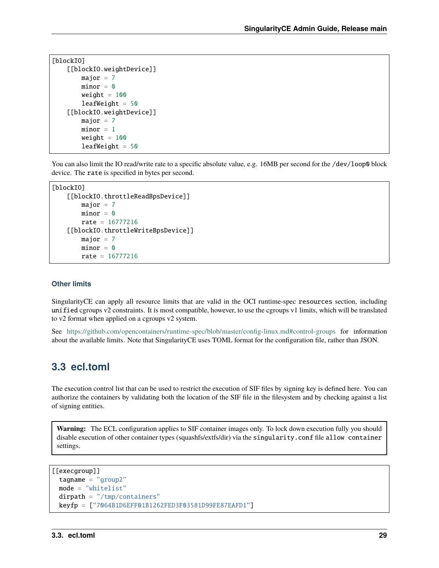```
[blockIO]
    [[blockIO.weightDevice]]
        major = 7minor = <math>0</math>weight = 100leafWeight = 50[[blockIO.weightDevice]]
       major = 7minor = 1weight = 100leafWeight = 50
```
You can also limit the IO read/write rate to a specific absolute value, e.g. 16MB per second for the /dev/loop0 block device. The rate is specified in bytes per second.

```
[blockIO]
    [[blockIO.throttleReadBpsDevice]]
        major = 7minor = 0rate = 16777216[[blockIO.throttleWriteBpsDevice]]
       major = 7minor = <math>0</math>rate = 16777216
```
#### **Other limits**

SingularityCE can apply all resource limits that are valid in the OCI runtime-spec resources section, including unified cgroups v2 constraints. It is most compatible, however, to use the cgroups v1 limits, which will be translated to v2 format when applied on a cgroups v2 system.

See <https://github.com/opencontainers/runtime-spec/blob/master/config-linux.md#control-groups> for information about the available limits. Note that SingularityCE uses TOML format for the configuration file, rather than JSON.

## <span id="page-30-0"></span>**3.3 ecl.toml**

The execution control list that can be used to restrict the execution of SIF files by signing key is defined here. You can authorize the containers by validating both the location of the SIF file in the filesystem and by checking against a list of signing entities.

**Warning:** The ECL configuration applies to SIF container images only. To lock down execution fully you should disable execution of other container types (squashfs/extfs/dir) via the singularity.conf file allow container settings.

```
[[execgroup]]
 tagname = "group2"
 mode = "whitelist"
 dirpath = "/tmp/containers"
 keyfp = ["7064B1D6EFF01B1262FED3F03581D99FE87EAFD1"]
```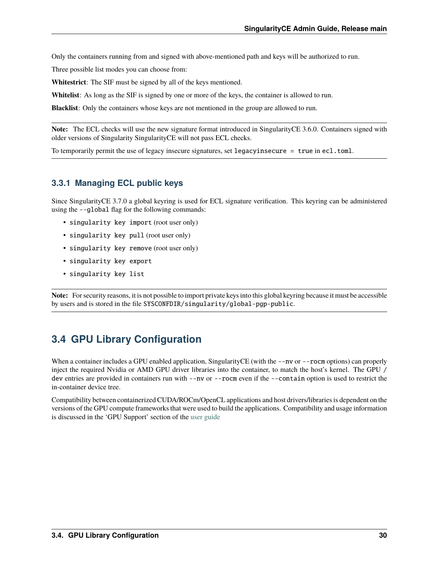Only the containers running from and signed with above-mentioned path and keys will be authorized to run.

Three possible list modes you can choose from:

**Whitestrict**: The SIF must be signed by all of the keys mentioned.

**Whitelist**: As long as the SIF is signed by one or more of the keys, the container is allowed to run.

**Blacklist**: Only the containers whose keys are not mentioned in the group are allowed to run.

**Note:** The ECL checks will use the new signature format introduced in SingularityCE 3.6.0. Containers signed with older versions of Singularity SingularityCE will not pass ECL checks.

To temporarily permit the use of legacy insecure signatures, set legacyinsecure = true in ecl.toml.

## **3.3.1 Managing ECL public keys**

Since SingularityCE 3.7.0 a global keyring is used for ECL signature verification. This keyring can be administered using the --global flag for the following commands:

- singularity key import (root user only)
- singularity key pull (root user only)
- singularity key remove (root user only)
- singularity key export
- singularity key list

**Note:** For security reasons, it is not possible to import private keys into this global keyring because it must be accessible by users and is stored in the file SYSCONFDIR/singularity/global-pgp-public.

# <span id="page-31-0"></span>**3.4 GPU Library Configuration**

When a container includes a GPU enabled application, SingularityCE (with the  $\text{-}$ -nv or  $\text{-}$ - $\text{-}$ rocm options) can properly inject the required Nvidia or AMD GPU driver libraries into the container, to match the host's kernel. The GPU / dev entries are provided in containers run with --nv or --rocm even if the --contain option is used to restrict the in-container device tree.

Compatibility between containerized CUDA/ROCm/OpenCL applications and host drivers/libraries is dependent on the versions of the GPU compute frameworks that were used to build the applications. Compatibility and usage information is discussed in the 'GPU Support' section of the [user guide](https://www.sylabs.io/guides/main/user-guide/)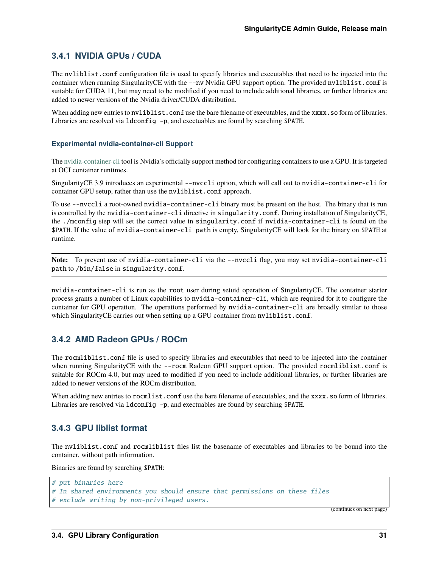## **3.4.1 NVIDIA GPUs / CUDA**

The nvliblist.conf configuration file is used to specify libraries and executables that need to be injected into the container when running SingularityCE with the --nv Nvidia GPU support option. The provided nvliblist.conf is suitable for CUDA 11, but may need to be modified if you need to include additional libraries, or further libraries are added to newer versions of the Nvidia driver/CUDA distribution.

When adding new entries to nvliblist.conf use the bare filename of executables, and the xxxx.so form of libraries. Libraries are resolved via 1 dconfig -p, and exectuables are found by searching \$PATH.

#### **Experimental nvidia-container-cli Support**

The [nvidia-container-cli](https://github.com/NVIDIA/libnvidia-container) tool is Nvidia's officially support method for configuring containers to use a GPU. It is targeted at OCI container runtimes.

SingularityCE 3.9 introduces an experimental --nvccli option, which will call out to nvidia-container-cli for container GPU setup, rather than use the nvliblist.conf approach.

To use --nvccli a root-owned nvidia-container-cli binary must be present on the host. The binary that is run is controlled by the nvidia-container-cli directive in singularity.conf. During installation of SingularityCE, the ./mconfig step will set the correct value in singularity.conf if nvidia-container-cli is found on the \$PATH. If the value of nvidia-container-cli path is empty, SingularityCE will look for the binary on \$PATH at runtime.

**Note:** To prevent use of nvidia-container-cli via the --nvccli flag, you may set nvidia-container-cli path to /bin/false in singularity.conf.

nvidia-container-cli is run as the root user during setuid operation of SingularityCE. The container starter process grants a number of Linux capabilities to nvidia-container-cli, which are required for it to configure the container for GPU operation. The operations performed by nvidia-container-cli are broadly similar to those which SingularityCE carries out when setting up a GPU container from nvliblist.conf.

## **3.4.2 AMD Radeon GPUs / ROCm**

The rocmliblist.conf file is used to specify libraries and executables that need to be injected into the container when running SingularityCE with the --rocm Radeon GPU support option. The provided rocmliblist.conf is suitable for ROCm 4.0, but may need to modified if you need to include additional libraries, or further libraries are added to newer versions of the ROCm distribution.

When adding new entries to rocmlist.conf use the bare filename of executables, and the xxxx.so form of libraries. Libraries are resolved via ldconfig -p, and exectuables are found by searching \$PATH.

#### **3.4.3 GPU liblist format**

The nvliblist.conf and rocmliblist files list the basename of executables and libraries to be bound into the container, without path information.

Binaries are found by searching \$PATH:

```
# put binaries here
# In shared environments you should ensure that permissions on these files
# exclude writing by non-privileged users.
```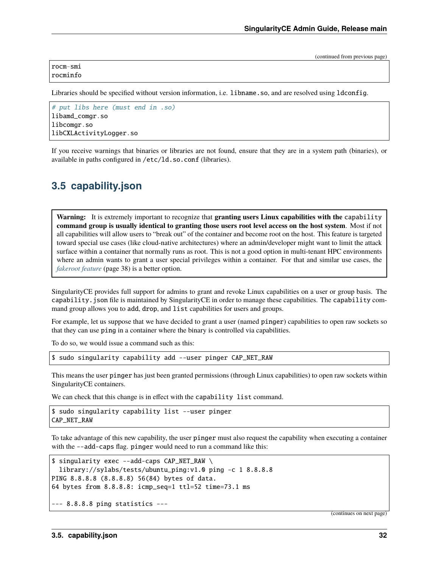rocm-smi rocminfo

Libraries should be specified without version information, i.e. libname. so, and are resolved using ldconfig.

```
# put libs here (must end in .so)
libamd_comgr.so
libcomgr.so
libCXLActivityLogger.so
```
If you receive warnings that binaries or libraries are not found, ensure that they are in a system path (binaries), or available in paths configured in /etc/ld.so.conf (libraries).

# <span id="page-33-0"></span>**3.5 capability.json**

**Warning:** It is extremely important to recognize that **granting users Linux capabilities with the** capability **command group is usually identical to granting those users root level access on the host system**. Most if not all capabilities will allow users to "break out" of the container and become root on the host. This feature is targeted toward special use cases (like cloud-native architectures) where an admin/developer might want to limit the attack surface within a container that normally runs as root. This is not a good option in multi-tenant HPC environments where an admin wants to grant a user special privileges within a container. For that and similar use cases, the *[fakeroot feature](#page-39-0)* (page 38) is a better option.

SingularityCE provides full support for admins to grant and revoke Linux capabilities on a user or group basis. The capability.json file is maintained by SingularityCE in order to manage these capabilities. The capability command group allows you to add, drop, and list capabilities for users and groups.

For example, let us suppose that we have decided to grant a user (named pinger) capabilities to open raw sockets so that they can use ping in a container where the binary is controlled via capabilities.

To do so, we would issue a command such as this:

\$ sudo singularity capability add --user pinger CAP\_NET\_RAW

This means the user pinger has just been granted permissions (through Linux capabilities) to open raw sockets within SingularityCE containers.

We can check that this change is in effect with the capability list command.

\$ sudo singularity capability list --user pinger CAP\_NET\_RAW

To take advantage of this new capability, the user pinger must also request the capability when executing a container with the --add-caps flag. pinger would need to run a command like this:

```
$ singularity exec --add-caps CAP_NET_RAW \
  library://sylabs/tests/ubuntu_ping:v1.0 ping -c 1 8.8.8.8
PING 8.8.8.8 (8.8.8.8) 56(84) bytes of data.
64 bytes from 8.8.8.8: icmp_seq=1 ttl=52 time=73.1 ms
--- 8.8.8.8 ping statistics ---
```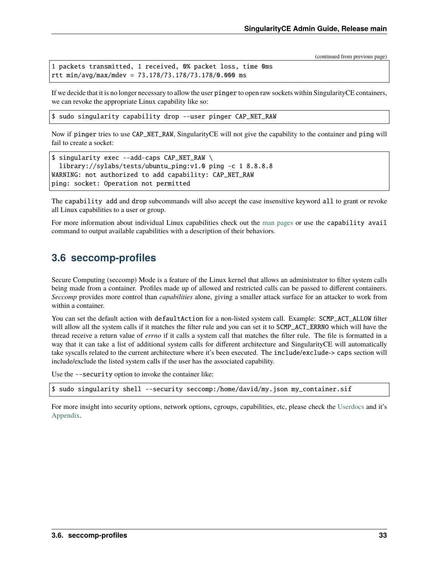```
1 packets transmitted, 1 received, 0% packet loss, time 0ms
rtt min/avg/max/mdev = 73.178/73.178/73.178/0.000 ms
```
If we decide that it is no longer necessary to allow the user pinger to open raw sockets within SingularityCE containers, we can revoke the appropriate Linux capability like so:

\$ sudo singularity capability drop --user pinger CAP\_NET\_RAW

Now if pinger tries to use CAP\_NET\_RAW, SingularityCE will not give the capability to the container and ping will fail to create a socket:

```
$ singularity exec --add-caps CAP_NET_RAW \
  library://sylabs/tests/ubuntu_ping:v1.0 ping -c 1 8.8.8.8
WARNING: not authorized to add capability: CAP_NET_RAW
ping: socket: Operation not permitted
```
The capability add and drop subcommands will also accept the case insensitive keyword all to grant or revoke all Linux capabilities to a user or group.

For more information about individual Linux capabilities check out the [man pages](http://man7.org/linux/man-pages/man7/capabilities.7.html) or use the capability avail command to output available capabilities with a description of their behaviors.

## <span id="page-34-0"></span>**3.6 seccomp-profiles**

Secure Computing (seccomp) Mode is a feature of the Linux kernel that allows an administrator to filter system calls being made from a container. Profiles made up of allowed and restricted calls can be passed to different containers. *Seccomp* provides more control than *capabilities* alone, giving a smaller attack surface for an attacker to work from within a container.

You can set the default action with defaultAction for a non-listed system call. Example: SCMP\_ACT\_ALLOW filter will allow all the system calls if it matches the filter rule and you can set it to SCMP\_ACT\_ERRNO which will have the thread receive a return value of *errno* if it calls a system call that matches the filter rule. The file is formatted in a way that it can take a list of additional system calls for different architecture and SingularityCE will automatically take syscalls related to the current architecture where it's been executed. The include/exclude-> caps section will include/exclude the listed system calls if the user has the associated capability.

Use the --security option to invoke the container like:

\$ sudo singularity shell --security seccomp:/home/david/my.json my\_container.sif

For more insight into security options, network options, cgroups, capabilities, etc, please check the [Userdocs](https://www.sylabs.io/guides/main/user-guide/) and it's [Appendix.](https://www.sylabs.io/guides/main/user-guide/appendix.html)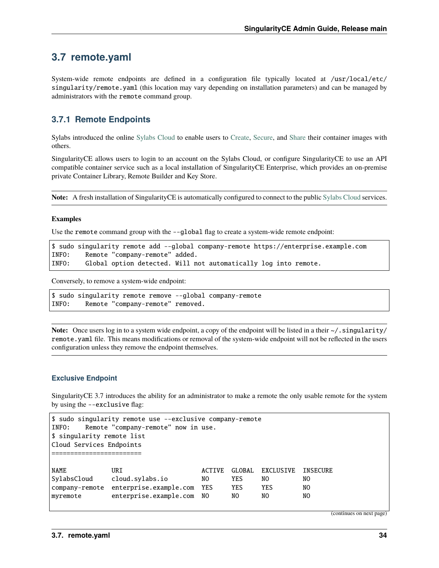## <span id="page-35-0"></span>**3.7 remote.yaml**

System-wide remote endpoints are defined in a configuration file typically located at /usr/local/etc/ singularity/remote.yaml (this location may vary depending on installation parameters) and can be managed by administrators with the remote command group.

## **3.7.1 Remote Endpoints**

Sylabs introduced the online [Sylabs Cloud](https://cloud.sylabs.io/home) to enable users to [Create,](https://cloud.sylabs.io/builder) [Secure,](https://cloud.sylabs.io/keystore?sign=true) and [Share](https://cloud.sylabs.io/library/guide#create) their container images with others.

SingularityCE allows users to login to an account on the Sylabs Cloud, or configure SingularityCE to use an API compatible container service such as a local installation of SingularityCE Enterprise, which provides an on-premise private Container Library, Remote Builder and Key Store.

**Note:** A fresh installation of SingularityCE is automatically configured to connect to the public [Sylabs Cloud](https://cloud.sylabs.io) services.

#### **Examples**

Use the remote command group with the  $-\text{global flag}$  to create a system-wide remote endpoint:

```
$ sudo singularity remote add --global company-remote https://enterprise.example.com
INFO: Remote "company-remote" added.
INFO: Global option detected. Will not automatically log into remote.
```
Conversely, to remove a system-wide endpoint:

```
$ sudo singularity remote remove --global company-remote
INFO: Remote "company-remote" removed.
```
**Note:** Once users log in to a system wide endpoint, a copy of the endpoint will be listed in a their  $\sim$ /. singularity/ remote.yaml file. This means modifications or removal of the system-wide endpoint will not be reflected in the users configuration unless they remove the endpoint themselves.

#### **Exclusive Endpoint**

SingularityCE 3.7 introduces the ability for an administrator to make a remote the only usable remote for the system by using the --exclusive flag:

```
$ sudo singularity remote use --exclusive company-remote
INFO: Remote "company-remote" now in use.
$ singularity remote list
Cloud Services Endpoints
========================
NAME URI URI ACTIVE GLOBAL EXCLUSIVE INSECURE
SylabsCloud cloud.sylabs.io NO YES NO NO
company-remote enterprise.example.com YES YES YES NO
myremote enterprise.example.com NO NO NO NO
```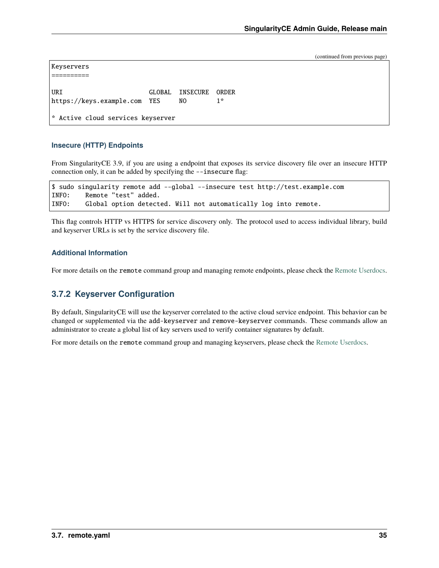```
Keyservers
==========
URI GLOBAL INSECURE ORDER
https://keys.example.com YES NO 1*
* Active cloud services keyserver
```
#### **Insecure (HTTP) Endpoints**

From SingularityCE 3.9, if you are using a endpoint that exposes its service discovery file over an insecure HTTP connection only, it can be added by specifying the --insecure flag:

```
$ sudo singularity remote add --global --insecure test http://test.example.com
INFO: Remote "test" added.
INFO: Global option detected. Will not automatically log into remote.
```
This flag controls HTTP vs HTTPS for service discovery only. The protocol used to access individual library, build and keyserver URLs is set by the service discovery file.

#### **Additional Information**

For more details on the remote command group and managing remote endpoints, please check the [Remote Userdocs.](https://www.sylabs.io/guides/main/user-guide/endpoint.html)

## **3.7.2 Keyserver Configuration**

By default, SingularityCE will use the keyserver correlated to the active cloud service endpoint. This behavior can be changed or supplemented via the add-keyserver and remove-keyserver commands. These commands allow an administrator to create a global list of key servers used to verify container signatures by default.

For more details on the remote command group and managing keyservers, please check the [Remote Userdocs.](https://www.sylabs.io/guides/main/user-guide/endpoint.html)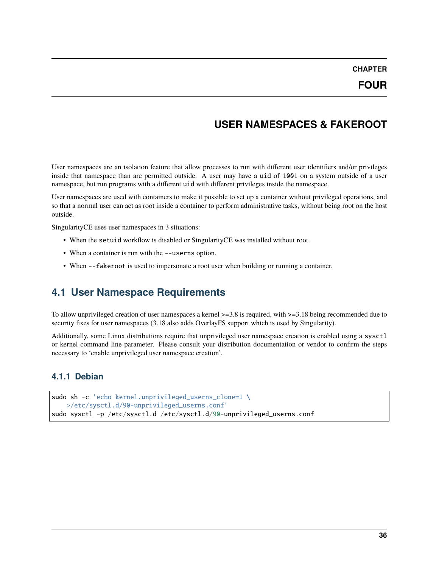**CHAPTER**

# **USER NAMESPACES & FAKEROOT**

<span id="page-37-0"></span>User namespaces are an isolation feature that allow processes to run with different user identifiers and/or privileges inside that namespace than are permitted outside. A user may have a uid of 1001 on a system outside of a user namespace, but run programs with a different uid with different privileges inside the namespace.

User namespaces are used with containers to make it possible to set up a container without privileged operations, and so that a normal user can act as root inside a container to perform administrative tasks, without being root on the host outside.

SingularityCE uses user namespaces in 3 situations:

- When the setuid workflow is disabled or SingularityCE was installed without root.
- When a container is run with the --userns option.
- When --fakeroot is used to impersonate a root user when building or running a container.

## <span id="page-37-1"></span>**4.1 User Namespace Requirements**

To allow unprivileged creation of user namespaces a kernel >=3.8 is required, with >=3.18 being recommended due to security fixes for user namespaces (3.18 also adds OverlayFS support which is used by Singularity).

Additionally, some Linux distributions require that unprivileged user namespace creation is enabled using a sysctl or kernel command line parameter. Please consult your distribution documentation or vendor to confirm the steps necessary to 'enable unprivileged user namespace creation'.

#### **4.1.1 Debian**

```
sudo sh -c 'echo kernel.unprivileged_userns_clone=1 \
   >/etc/sysctl.d/90-unprivileged_userns.conf'
sudo sysctl -p /etc/sysctl.d /etc/sysctl.d/90-unprivileged_userns.conf
```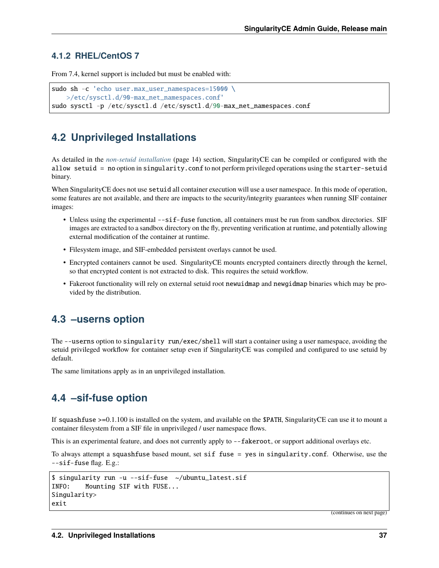### **4.1.2 RHEL/CentOS 7**

From 7.4, kernel support is included but must be enabled with:

```
sudo sh -c 'echo user.max_user_namespaces=15000 \
   >/etc/sysctl.d/90-max_net_namespaces.conf'
sudo sysctl -p /etc/sysctl.d /etc/sysctl.d/90-max_net_namespaces.conf
```
# <span id="page-38-0"></span>**4.2 Unprivileged Installations**

As detailed in the *[non-setuid installation](#page-15-0)* (page 14) section, SingularityCE can be compiled or configured with the allow setuid = no option in singularity.conf to not perform privileged operations using the starter-setuid binary.

When SingularityCE does not use setuid all container execution will use a user namespace. In this mode of operation, some features are not available, and there are impacts to the security/integrity guarantees when running SIF container images:

- Unless using the experimental --sif-fuse function, all containers must be run from sandbox directories. SIF images are extracted to a sandbox directory on the fly, preventing verification at runtime, and potentially allowing external modification of the container at runtime.
- Filesystem image, and SIF-embedded persistent overlays cannot be used.
- Encrypted containers cannot be used. SingularityCE mounts encrypted containers directly through the kernel, so that encrypted content is not extracted to disk. This requires the setuid workflow.
- Fakeroot functionality will rely on external setuid root newuidmap and newgidmap binaries which may be provided by the distribution.

## <span id="page-38-1"></span>**4.3 –userns option**

The --userns option to singularity run/exec/shell will start a container using a user namespace, avoiding the setuid privileged workflow for container setup even if SingularityCE was compiled and configured to use setuid by default.

The same limitations apply as in an unprivileged installation.

## <span id="page-38-2"></span>**4.4 –sif-fuse option**

If squashfuse >=0.1.100 is installed on the system, and available on the \$PATH, SingularityCE can use it to mount a container filesystem from a SIF file in unprivileged / user namespace flows.

This is an experimental feature, and does not currently apply to  $--fakeroot$ , or support additional overlays etc.

To always attempt a squashfuse based mount, set sif fuse = yes in singularity.conf. Otherwise, use the --sif-fuse flag. E.g.:

```
$ singularity run -u --sif-fuse ~/ubuntu_latest.sif
INFO: Mounting SIF with FUSE...
Singularity>
exit
```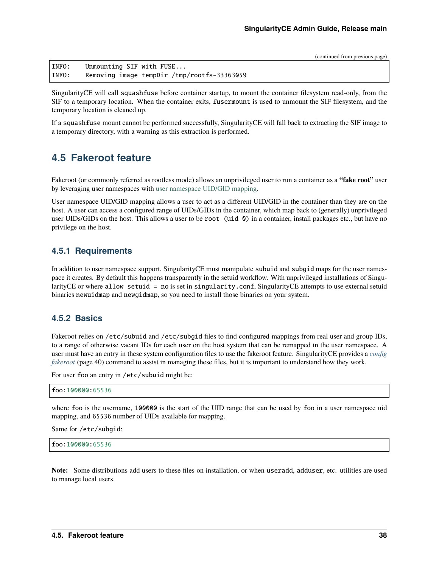INFO: Unmounting SIF with FUSE... INFO: Removing image tempDir /tmp/rootfs-33363059

SingularityCE will call squashfuse before container startup, to mount the container filesystem read-only, from the SIF to a temporary location. When the container exits, fusermount is used to unmount the SIF filesystem, and the temporary location is cleaned up.

If a squashfuse mount cannot be performed successfully, SingularityCE will fall back to extracting the SIF image to a temporary directory, with a warning as this extraction is performed.

## <span id="page-39-0"></span>**4.5 Fakeroot feature**

Fakeroot (or commonly referred as rootless mode) allows an unprivileged user to run a container as a **"fake root"** user by leveraging user namespaces with [user namespace UID/GID mapping.](http://man7.org/linux/man-pages/man7/user_namespaces.7.html)

User namespace UID/GID mapping allows a user to act as a different UID/GID in the container than they are on the host. A user can access a configured range of UIDs/GIDs in the container, which map back to (generally) unprivileged user UIDs/GIDs on the host. This allows a user to be root (uid 0) in a container, install packages etc., but have no privilege on the host.

#### **4.5.1 Requirements**

In addition to user namespace support, SingularityCE must manipulate subuid and subgid maps for the user namespace it creates. By default this happens transparently in the setuid workflow. With unprivileged installations of SingularityCE or where allow setuid = no is set in singularity.conf, SingularityCE attempts to use external setuid binaries newuidmap and newgidmap, so you need to install those binaries on your system.

#### **4.5.2 Basics**

Fakeroot relies on /etc/subuid and /etc/subgid files to find configured mappings from real user and group IDs, to a range of otherwise vacant IDs for each user on the host system that can be remapped in the user namespace. A user must have an entry in these system configuration files to use the fakeroot feature. SingularityCE provides a *[config](#page-41-0) [fakeroot](#page-41-0)* (page 40) command to assist in managing these files, but it is important to understand how they work.

For user foo an entry in /etc/subuid might be:

```
foo:100000:65536
```
where foo is the username, 100000 is the start of the UID range that can be used by foo in a user namespace uid mapping, and 65536 number of UIDs available for mapping.

Same for /etc/subgid:

foo:100000:65536

**Note:** Some distributions add users to these files on installation, or when useradd, adduser, etc. utilities are used to manage local users.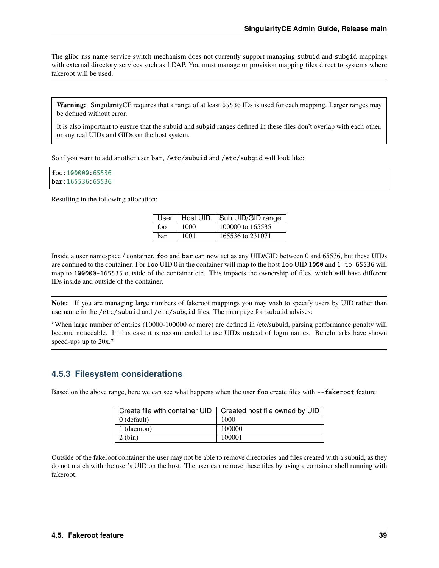The glibc nss name service switch mechanism does not currently support managing subuid and subgid mappings with external directory services such as LDAP. You must manage or provision mapping files direct to systems where fakeroot will be used.

**Warning:** SingularityCE requires that a range of at least 65536 IDs is used for each mapping. Larger ranges may be defined without error.

It is also important to ensure that the subuid and subgid ranges defined in these files don't overlap with each other, or any real UIDs and GIDs on the host system.

So if you want to add another user bar, /etc/subuid and /etc/subgid will look like:

```
foo:100000:65536
bar:165536:65536
```
Resulting in the following allocation:

|     |      | User   Host UID   Sub UID/GID range |
|-----|------|-------------------------------------|
| foo | 1000 | 100000 to 165535                    |
| bar | 1001 | 165536 to 231071                    |

Inside a user namespace / container, foo and bar can now act as any UID/GID between 0 and 65536, but these UIDs are confined to the container. For foo UID 0 in the container will map to the host foo UID 1000 and 1 to 65536 will map to 100000-165535 outside of the container etc. This impacts the ownership of files, which will have different IDs inside and outside of the container.

**Note:** If you are managing large numbers of fakeroot mappings you may wish to specify users by UID rather than username in the /etc/subuid and /etc/subgid files. The man page for subuid advises:

"When large number of entries (10000-100000 or more) are defined in /etc/subuid, parsing performance penalty will become noticeable. In this case it is recommended to use UIDs instead of login names. Benchmarks have shown speed-ups up to 20x."

## **4.5.3 Filesystem considerations**

Based on the above range, here we can see what happens when the user foo create files with --fakeroot feature:

| Create file with container UID | Created host file owned by UID |
|--------------------------------|--------------------------------|
| $0$ (default)                  | 1000                           |
| 1 (daemon)                     | 100000                         |
| $2$ (bin)                      | 100001                         |

Outside of the fakeroot container the user may not be able to remove directories and files created with a subuid, as they do not match with the user's UID on the host. The user can remove these files by using a container shell running with fakeroot.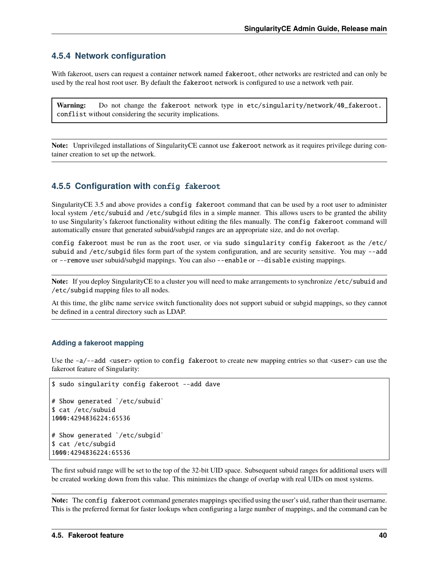### **4.5.4 Network configuration**

With fakeroot, users can request a container network named fakeroot, other networks are restricted and can only be used by the real host root user. By default the fakeroot network is configured to use a network veth pair.

Warning: Do not change the fakeroot network type in etc/singularity/network/40\_fakeroot. conflist without considering the security implications.

**Note:** Unprivileged installations of SingularityCE cannot use fakeroot network as it requires privilege during container creation to set up the network.

#### <span id="page-41-0"></span>**4.5.5 Configuration with** config fakeroot

SingularityCE 3.5 and above provides a config fakeroot command that can be used by a root user to administer local system /etc/subuid and /etc/subgid files in a simple manner. This allows users to be granted the ability to use Singularity's fakeroot functionality without editing the files manually. The config fakeroot command will automatically ensure that generated subuid/subgid ranges are an appropriate size, and do not overlap.

config fakeroot must be run as the root user, or via sudo singularity config fakeroot as the /etc/ subuid and /etc/subgid files form part of the system configuration, and are security sensitive. You may --add or --remove user subuid/subgid mappings. You can also --enable or --disable existing mappings.

**Note:** If you deploy SingularityCE to a cluster you will need to make arrangements to synchronize /etc/subuid and /etc/subgid mapping files to all nodes.

At this time, the glibc name service switch functionality does not support subuid or subgid mappings, so they cannot be defined in a central directory such as LDAP.

#### **Adding a fakeroot mapping**

Use the  $-a$ --add <user> option to config fakeroot to create new mapping entries so that <user> can use the fakeroot feature of Singularity:

```
$ sudo singularity config fakeroot --add dave
# Show generated `/etc/subuid`
$ cat /etc/subuid
1000:4294836224:65536
# Show generated `/etc/subgid`
$ cat /etc/subgid
1000:4294836224:65536
```
The first subuid range will be set to the top of the 32-bit UID space. Subsequent subuid ranges for additional users will be created working down from this value. This minimizes the change of overlap with real UIDs on most systems.

**Note:** The config fakeroot command generates mappings specified using the user's uid, rather than their username. This is the preferred format for faster lookups when configuring a large number of mappings, and the command can be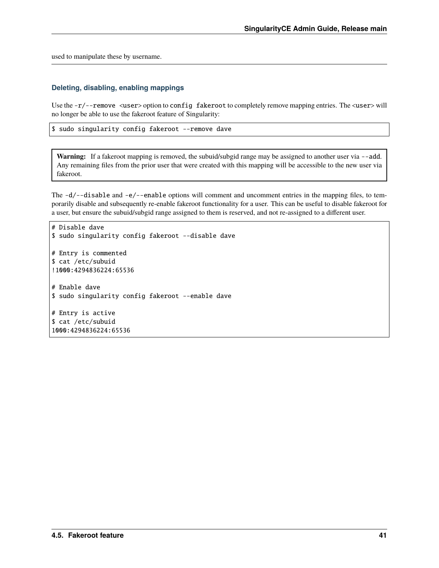used to manipulate these by username.

#### **Deleting, disabling, enabling mappings**

Use the  $-r$  --remove <user> option to config fakeroot to completely remove mapping entries. The <user> will no longer be able to use the fakeroot feature of Singularity:

\$ sudo singularity config fakeroot --remove dave

Warning: If a fakeroot mapping is removed, the subuid/subgid range may be assigned to another user via --add. Any remaining files from the prior user that were created with this mapping will be accessible to the new user via fakeroot.

The  $-d$ /--disable and  $-e$ /--enable options will comment and uncomment entries in the mapping files, to temporarily disable and subsequently re-enable fakeroot functionality for a user. This can be useful to disable fakeroot for a user, but ensure the subuid/subgid range assigned to them is reserved, and not re-assigned to a different user.

```
# Disable dave
$ sudo singularity config fakeroot --disable dave
# Entry is commented
$ cat /etc/subuid
!1000:4294836224:65536
# Enable dave
$ sudo singularity config fakeroot --enable dave
# Entry is active
$ cat /etc/subuid
1000:4294836224:65536
```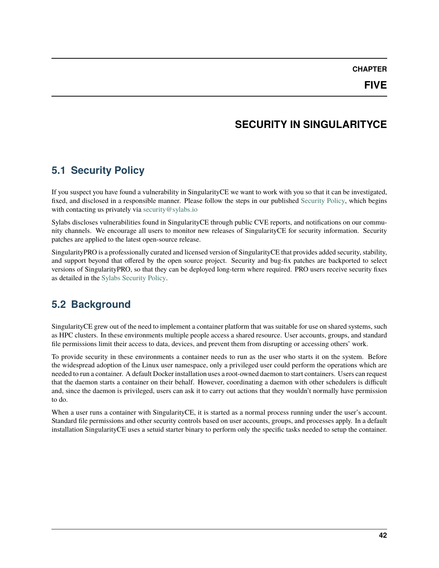**CHAPTER**

# **SECURITY IN SINGULARITYCE**

# <span id="page-43-1"></span><span id="page-43-0"></span>**5.1 Security Policy**

If you suspect you have found a vulnerability in SingularityCE we want to work with you so that it can be investigated, fixed, and disclosed in a responsible manner. Please follow the steps in our published [Security Policy,](https://sylabs.io/security-policy) which begins with contacting us privately via [security@sylabs.io](mailto:security@sylabs.io)

Sylabs discloses vulnerabilities found in SingularityCE through public CVE reports, and notifications on our community channels. We encourage all users to monitor new releases of SingularityCE for security information. Security patches are applied to the latest open-source release.

SingularityPRO is a professionally curated and licensed version of SingularityCE that provides added security, stability, and support beyond that offered by the open source project. Security and bug-fix patches are backported to select versions of SingularityPRO, so that they can be deployed long-term where required. PRO users receive security fixes as detailed in the [Sylabs Security Policy.](https://sylabs.io/security-policy)

# <span id="page-43-2"></span>**5.2 Background**

SingularityCE grew out of the need to implement a container platform that was suitable for use on shared systems, such as HPC clusters. In these environments multiple people access a shared resource. User accounts, groups, and standard file permissions limit their access to data, devices, and prevent them from disrupting or accessing others' work.

To provide security in these environments a container needs to run as the user who starts it on the system. Before the widespread adoption of the Linux user namespace, only a privileged user could perform the operations which are needed to run a container. A default Docker installation uses a root-owned daemon to start containers. Users can request that the daemon starts a container on their behalf. However, coordinating a daemon with other schedulers is difficult and, since the daemon is privileged, users can ask it to carry out actions that they wouldn't normally have permission to do.

When a user runs a container with SingularityCE, it is started as a normal process running under the user's account. Standard file permissions and other security controls based on user accounts, groups, and processes apply. In a default installation SingularityCE uses a setuid starter binary to perform only the specific tasks needed to setup the container.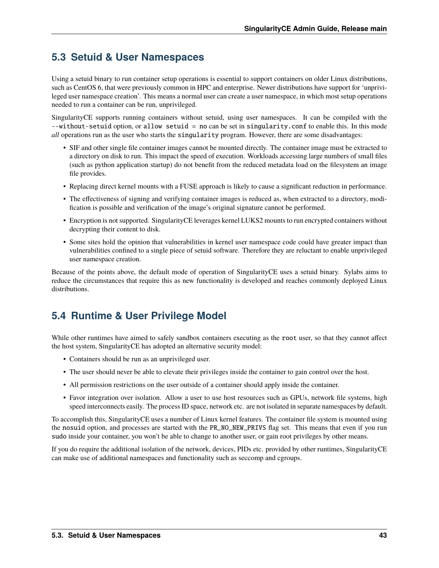# <span id="page-44-0"></span>**5.3 Setuid & User Namespaces**

Using a setuid binary to run container setup operations is essential to support containers on older Linux distributions, such as CentOS 6, that were previously common in HPC and enterprise. Newer distributions have support for 'unprivileged user namespace creation'. This means a normal user can create a user namespace, in which most setup operations needed to run a container can be run, unprivileged.

SingularityCE supports running containers without setuid, using user namespaces. It can be compiled with the --without-setuid option, or allow setuid = no can be set in singularity.conf to enable this. In this mode *all* operations run as the user who starts the singularity program. However, there are some disadvantages:

- SIF and other single file container images cannot be mounted directly. The container image must be extracted to a directory on disk to run. This impact the speed of execution. Workloads accessing large numbers of small files (such as python application startup) do not benefit from the reduced metadata load on the filesystem an image file provides.
- Replacing direct kernel mounts with a FUSE approach is likely to cause a significant reduction in performance.
- The effectiveness of signing and verifying container images is reduced as, when extracted to a directory, modification is possible and verification of the image's original signature cannot be performed.
- Encryption is not supported. SingularityCE leverages kernel LUKS2 mounts to run encrypted containers without decrypting their content to disk.
- Some sites hold the opinion that vulnerabilities in kernel user namespace code could have greater impact than vulnerabilities confined to a single piece of setuid software. Therefore they are reluctant to enable unprivileged user namespace creation.

Because of the points above, the default mode of operation of SingularityCE uses a setuid binary. Sylabs aims to reduce the circumstances that require this as new functionality is developed and reaches commonly deployed Linux distributions.

# <span id="page-44-1"></span>**5.4 Runtime & User Privilege Model**

While other runtimes have aimed to safely sandbox containers executing as the root user, so that they cannot affect the host system, SingularityCE has adopted an alternative security model:

- Containers should be run as an unprivileged user.
- The user should never be able to elevate their privileges inside the container to gain control over the host.
- All permission restrictions on the user outside of a container should apply inside the container.
- Favor integration over isolation. Allow a user to use host resources such as GPUs, network file systems, high speed interconnects easily. The process ID space, network etc. are not isolated in separate namespaces by default.

To accomplish this, SingularityCE uses a number of Linux kernel features. The container file system is mounted using the nosuid option, and processes are started with the PR\_NO\_NEW\_PRIVS flag set. This means that even if you run sudo inside your container, you won't be able to change to another user, or gain root privileges by other means.

If you do require the additional isolation of the network, devices, PIDs etc. provided by other runtimes, SingularityCE can make use of additional namespaces and functionality such as seccomp and cgroups.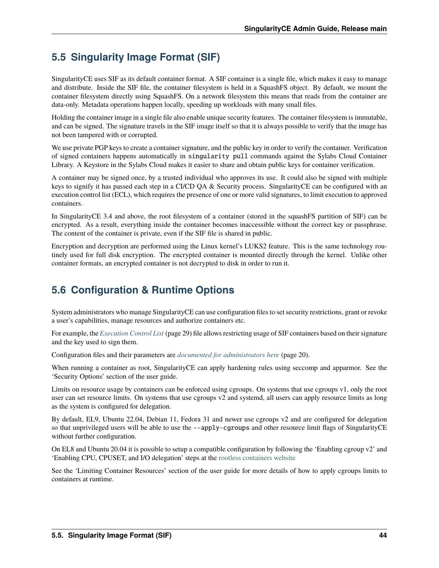# <span id="page-45-0"></span>**5.5 Singularity Image Format (SIF)**

SingularityCE uses SIF as its default container format. A SIF container is a single file, which makes it easy to manage and distribute. Inside the SIF file, the container filesystem is held in a SquashFS object. By default, we mount the container filesystem directly using SquashFS. On a network filesystem this means that reads from the container are data-only. Metadata operations happen locally, speeding up workloads with many small files.

Holding the container image in a single file also enable unique security features. The container filesystem is immutable, and can be signed. The signature travels in the SIF image itself so that it is always possible to verify that the image has not been tampered with or corrupted.

We use private PGP keys to create a container signature, and the public key in order to verify the container. Verification of signed containers happens automatically in singularity pull commands against the Sylabs Cloud Container Library. A Keystore in the Sylabs Cloud makes it easier to share and obtain public keys for container verification.

A container may be signed once, by a trusted individual who approves its use. It could also be signed with multiple keys to signify it has passed each step in a CI/CD QA & Security process. SingularityCE can be configured with an execution control list (ECL), which requires the presence of one or more valid signatures, to limit execution to approved containers.

In SingularityCE 3.4 and above, the root filesystem of a container (stored in the squashFS partition of SIF) can be encrypted. As a result, everything inside the container becomes inaccessible without the correct key or passphrase. The content of the container is private, even if the SIF file is shared in public.

Encryption and decryption are performed using the Linux kernel's LUKS2 feature. This is the same technology routinely used for full disk encryption. The encrypted container is mounted directly through the kernel. Unlike other container formats, an encrypted container is not decrypted to disk in order to run it.

# <span id="page-45-1"></span>**5.6 Configuration & Runtime Options**

System administrators who manage SingularityCE can use configuration files to set security restrictions, grant or revoke a user's capabilities, manage resources and authorize containers etc.

For example, the *[Execution Control List](#page-30-0)* (page 29) file allows restricting usage of SIF containers based on their signature and the key used to sign them.

Configuration files and their parameters are *[documented for administrators here](#page-21-0)* (page 20).

When running a container as root, SingularityCE can apply hardening rules using seccomp and apparmor. See the 'Security Options' section of the user guide.

Limits on resource usage by containers can be enforced using cgroups. On systems that use cgroups v1, only the root user can set resource limits. On systems that use cgroups v2 and systemd, all users can apply resource limits as long as the system is configured for delegation.

By default, EL9, Ubuntu 22.04, Debian 11, Fedora 31 and newer use cgroups v2 and are configured for delegation so that unprivileged users will be able to use the --apply-cgroups and other resource limit flags of SingularityCE without further configuration.

On EL8 and Ubuntu 20.04 it is possible to setup a compatible configuration by following the 'Enabling cgroup v2' and 'Enabling CPU, CPUSET, and I/O delegation' steps at the [rootless containers website](https://rootlesscontaine.rs/getting-started/common/cgroup2/)

See the 'Limiting Container Resources' section of the user guide for more details of how to apply cgroups limits to containers at runtime.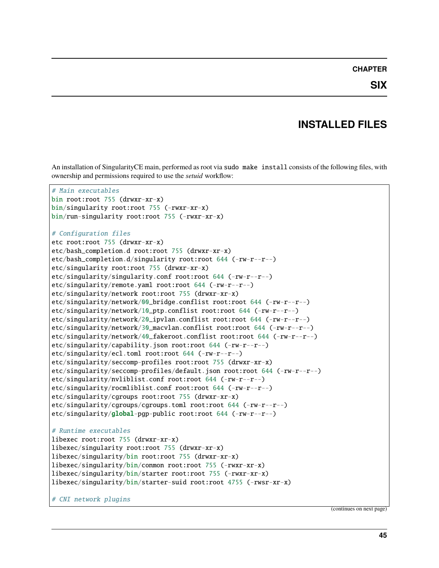#### **CHAPTER**

## **INSTALLED FILES**

<span id="page-46-0"></span>An installation of SingularityCE main, performed as root via sudo make install consists of the following files, with ownership and permissions required to use the *setuid* workflow:

```
# Main executables
bin root:root 755 (drwxr-xr-x)
bin/singularity root:root 755 (-rwxr-xr-x)
bin/run-singularity root:root 755 (-rwxr-xr-x)
# Configuration files
etc root:root 755 (drwxr-xr-x)
etc/bash_completion.d root:root 755 (drwxr-xr-x)
etc/bash_completion.d/singularity root:root 644 (-rw-r--r--)
etc/singularity root:root 755 (drwxr-xr-x)
etc/singularity/singularity.conf root:root 644 (-rw-r--r--)
etc/singularity/remote.yaml root:root 644 (-rw-r--r--)
etc/singularity/network root:root 755 (drwxr-xr-x)
etc/singularity/network/00_bridge.conflist root:root 644 (-rw-r--r--)
etc/singularity/network/10_ptp.conflist root:root 644 (-rw-r--r--)
etc/singularity/network/20_ipvlan.conflist root:root 644 (-rw-r--r--)
etc/singularity/network/30_macvlan.conflist root:root 644 (-rw-r--r--)
etc/singularity/network/40_fakeroot.conflist root:root 644 (-rw-r--r--)
etc/singularity/capability.json root:root 644 (-rw-r--r--)
etc/singularity/ecl.toml root:root 644 (-rw-r--r--)
etc/singularity/seccomp-profiles root:root 755 (drwxr-xr-x)
etc/singularity/seccomp-profiles/default.json root:root 644 (-rw-r--r--)
etc/singularity/nvliblist.conf root:root 644 (-rw-r--r--)
etc/singularity/rocmliblist.conf root:root 644 (-rw-r--r--)
etc/singularity/cgroups root:root 755 (drwxr-xr-x)
etc/singularity/cgroups/cgroups.toml root:root 644 (-rw-r--r--)
etc/singularity/global-pgp-public root:root 644 (-rw-r--r--)
# Runtime executables
libexec root:root 755 (drwxr-xr-x)
libexec/singularity root:root 755 (drwxr-xr-x)
libexec/singularity/bin root:root 755 (drwxr-xr-x)
libexec/singularity/bin/conmon root:root 755 (-rwxr-xr-x)
libexec/singularity/bin/starter root:root 755 (-rwxr-xr-x)
libexec/singularity/bin/starter-suid root:root 4755 (-rwsr-xr-x)
```
# CNI network plugins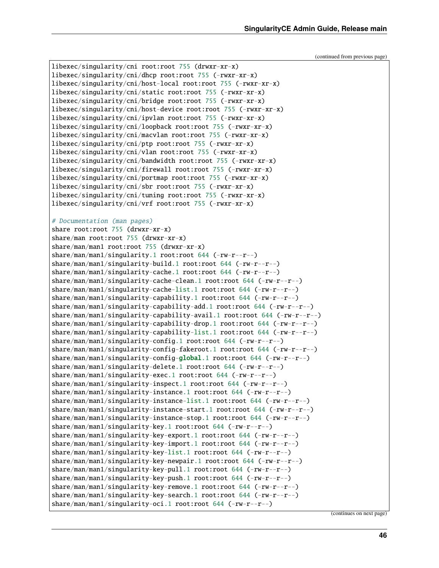```
libexec/singularity/cni root:root 755 (drwxr-xr-x)
libexec/singularity/cni/dhcp root:root 755 (-rwxr-xr-x)
libexec/singularity/cni/host-local root:root 755 (-rwxr-xr-x)
libexec/singularity/cni/static root:root 755 (-rwxr-xr-x)
libexec/singularity/cni/bridge root:root 755 (-rwxr-xr-x)
libexec/singularity/cni/host-device root:root 755 (-rwxr-xr-x)
libexec/singularity/cni/ipvlan root:root 755 (-rwxr-xr-x)
libexec/singularity/cni/loopback root:root 755 (-rwxr-xr-x)
libexec/singularity/cni/macvlan root:root 755 (-rwxr-xr-x)
libexec/singularity/cni/ptp root:root 755 (-rwxr-xr-x)
libexec/singularity/cni/vlan root:root 755 (-rwxr-xr-x)
libexec/singularity/cni/bandwidth root:root 755 (-rwxr-xr-x)
libexec/singularity/cni/firewall root:root 755 (-rwxr-xr-x)
libexec/singularity/cni/portmap root:root 755 (-rwxr-xr-x)
libexec/singularity/cni/sbr root:root 755 (-rwxr-xr-x)
libexec/singularity/cni/tuning root:root 755 (-rwxr-xr-x)
libexec/singularity/cni/vrf root:root 755 (-rwxr-xr-x)
# Documentation (man pages)
share root:root 755 (drwxr-xr-x)
share/man root:root 755 (drwxr-xr-x)
share/man/man1 root:root 755 (drwxr-xr-x)
share/man/man1/singularity.1 root:root 644 (-rw-r--r--)
share/man/man1/singularity-build.1 root:root 644 (-rw-r--r--)
share/man/man1/singularity-cache.1 root:root 644 (-rw-r--r--)
share/man/man1/singularity-cache-clean.1 root:root 644 (-rw-r--r--)
share/man/man1/singularity-cache-list.1 root:root 644 (-rw-r--r--)
share/man/man1/singularity-capability.1 root:root 644 (-rw-r--r--)
share/man/man1/singularity-capability-add.1 root:root 644 (-rw-r--r--)
share/man/man1/singularity-capability-avail.1 root:root 644 (-rw-r--r--)
share/man/man1/singularity-capability-drop.1 root:root 644 (-rw-r--r--)
share/man/man1/singularity-capability-list.1 root:root 644 (-rw-r--r--)
share/man/man1/singularity-config.1 root:root 644 (-rw-r--r--)
share/man/man1/singularity-config-fakeroot.1 root:root 644 (-rw-r--r--)
share/man/man1/singularity-config-global.1 root:root 644 (-rw-r--r--)
share/man/man1/singularity-delete.1 root:root 644 (-rw-r--r--)
share/man/man1/singularity-exec.1 root:root 644 (-rw-r--r--)
share/man/man1/singularity-inspect.1 root:root 644 (-rw-r--r--)
share/man/man1/singularity-instance.1 root:root 644 (-rw-r--r--)
share/man/man1/singularity-instance-list.1 root:root 644 (-rw-r--r--)
share/man/man1/singularity-instance-start.1 root:root 644 (-rw-r--r--)
share/man/man1/singularity-instance-stop.1 root:root 644 (-rw-r--r--)
share/man/man1/singularity-key.1 root:root 644 (-rw-r--r--)
share/man/man1/singularity-key-export.1 root:root 644 (-rw-r--r--)
share/man/man1/singularity-key-import.1 root:root 644 (-rw-r--r--)
share/mman/man1/singularity-key-list.1 root: root 644 (-rw-r-r-)share/man/man1/singularity-key-newpair.1 root:root 644 (-rw-r--r--)
share/man/man1/singularity-key-pull.1 root:root 644 (-rw-r--r--)
share/man/man1/singularity-key-push.1 root:root 644 (-rw-r--r--)
share/man/man1/singularity-key-remove.1 root:root 644 (-rw-r--r--)
share/man/man1/singularity-key-search.1 root:root 644 (-rw-r--r--)
share/man/man1/singularity-oci.1 root:root 644 (-rw-r--r--)
```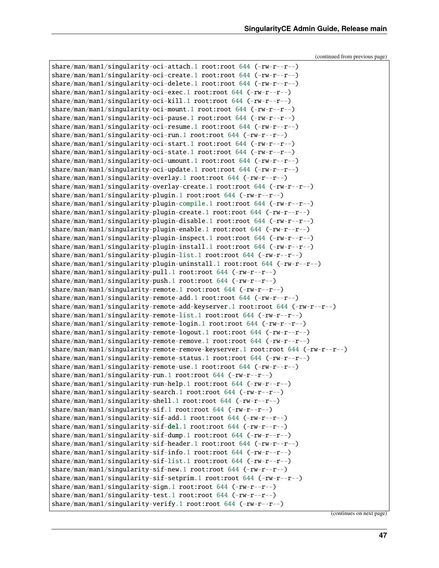```
share/man/man1/singularity-oci-attach.1 root:root 644 (-rw-r--r--)
share/man/man1/singularity-oci-create.1 root:root 644 (-rw-r--r--)
share/man/man1/singularity-oci-delete.1 root:root 644 (-rw-r--r--)
share/mman/man1/singularity-oci-exec.1 root:root 644 (-rw-r-r-)-)share/man/man1/singularity-oci-kill.1 root:root 644 (-rw-r--r--)
share/man/man1/singularity-oci-mount.1 root:root 644 (-rw-r--r--)
share/man/man1/singularity-oci-pause.1 root:root 644 (-rw-r--r--)
share/man/man1/singularity-oci-resume.1 root:root 644 (-rw-r--r--)
share/man/man1/singularity-oci-run.1 root:root 644 (-rw-r--r--)
share/man/man1/singularity-oci-start.1 root:root 644 (-rw-r--r--)
share/man/man1/singularity-oci-state.1 root:root 644 (-rw-r--r--)
share/man/man1/singularity-oci-umount.1 root:root 644 (-rw-r--r--)
share/man/man1/singularity-oci-update.1 root:root 644 (-rw-r--r--)
share/man/man1/singularity-overlay.1 root:root 644 (-rw-r--r--)
share/man/man1/singularity-overlay-create.1 root:root 644 (-rw-r--r--)
share/man/man1/singularity-plugin.1 root:root 644 (-rw-r--r--)
share/man/man1/singularity-plugin-compile.1 root:root 644 (-rw-r--r--)
share/man/man1/singularity-plugin-create.1 root:root 644 (-rw-r--r--)
share/man/man1/singularity-plugin-disable.1 root:root 644 (-rw-r--r--)
share/man/man1/singularity-plugin-enable.1 root:root 644 (-rw-r--r--)
share/man/man1/singularity-plugin-inspect.1 root:root 644 (-rw-r--r--)
share/man/man1/singularity-plugin-install.1 root:root 644 (-rw-r--r--)
share/man/man1/singularity-plugin-list.1 root:root 644 (-rw-r--r--)
share/man/man1/singularity-plugin-uninstall.1 root:root 644 (-rw-r--r--)
share/man/man1/singularity-pull.1 root:root 644 (-rw-r--r--)
share/man/man1/singularity-push.1 root:root 644 (-rw-r--r--)
share/man/man1/singularity-remote.1 root:root 644 (-rw-r--r--)
share/man/man1/singularity-remote-add.1 root:root 644 (-rw-r--r--)
share/man/man1/singularity-remote-add-keyserver.1 root:root 644 (-rw-r--r--)
share/man/man1/singularity-remote-list.1 root:root 644 (-rw-r--r--)
share/man/man1/singularity-remote-login.1 root:root 644 (-rw-r--r--)
share/man/man1/singularity-remote-logout.1 root:root 644 (-rw-r--r--)
share/man/man1/singularity-remote-remove.1 root:root 644 (-rw-r--r--)
share/man/man1/singularity-remote-remove-keyserver.1 root:root 644 (-rw-r--r--)
share/man/man1/singularity-remote-status.1 root:root 644 (-rw-r--r--)
share/man/man1/singularity-remote-use.1 root:root 644 (-rw-r--r--)
share/man/man1/singularity-run.1 root:root 644 (-rw-r--r--)
share/man/man1/singularity-run-help.1 root:root 644 (-rw-r--r--)
share/man/man1/singularity-search.1 root:root 644 (-rw-r--r--)
share/man/man1/singularity-shell.1 root:root 644 (-rw-r--r--)
share/man/man1/singularity-sif.1 root:root 644 (-rw-r--r--)
share/man/man1/singularity-sif-add.1 root:root 644 (-rw-r--r--)
share/man/man1/singularity-sif-del.1 root:root 644 (-rw-r--r--)
share/man/man1/singularity-sif-dump.1 root:root 644 (-rw-r--r--)
share/man/man1/singularity-sif-header.1 root:root 644 (-rw-r--r--)
share/man/man1/singularity-sif-info.1 root:root 644 (-rw-r--r--)
share/man/man1/singularity-sif-list.1 root:root 644 (-rw-r--r--)
share/man/man1/singularity-sif-new.1 root:root 644 (-rw-r--r--)
share/man/man1/singularity-sif-setprim.1 root:root 644 (-rw-r--r--)
share/man/man1/singularity-sign.1 root:root 644 (-rw-r--r--)
share/man/man1/singularity-test.1 root:root 644 (-rw-r--r--)
share/man/man1/singularity-verify.1 root:root 644 (-rw-r--r--)
```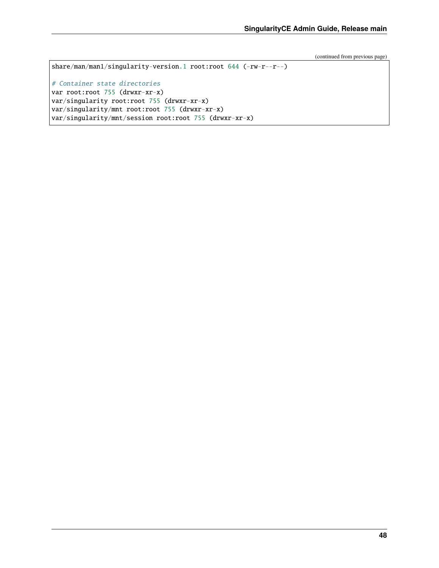```
share/man/man1/singularity-version.1 root:root 644 (-rw-r--r--)
# Container state directories
var root:root 755 (drwxr-xr-x)
var/singularity root:root 755 (drwxr-xr-x)
var/singularity/mnt root:root 755 (drwxr-xr-x)
var/singularity/mnt/session root:root 755 (drwxr-xr-x)
```